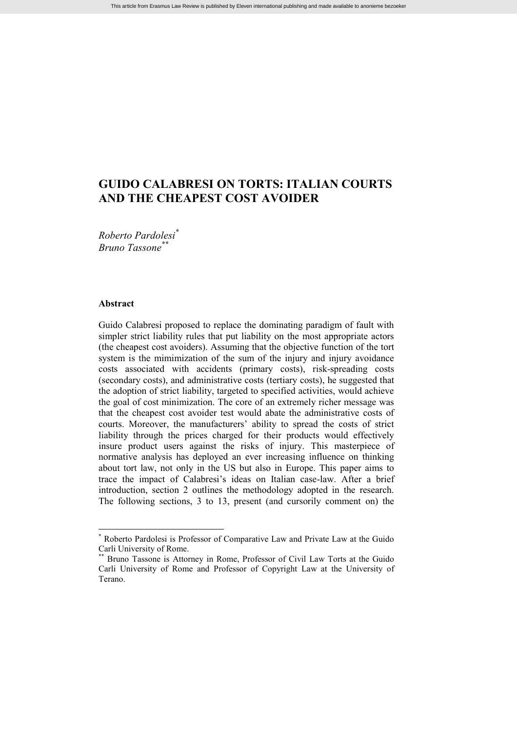# **GUIDO CALABRESI ON TORTS: ITALIAN COURTS AND THE CHEAPEST COST AVOIDER**

*Roberto Pardolesi\* Bruno Tassone\*\**

#### **Abstract**

Guido Calabresi proposed to replace the dominating paradigm of fault with simpler strict liability rules that put liability on the most appropriate actors (the cheapest cost avoiders). Assuming that the objective function of the tort system is the mimimization of the sum of the injury and injury avoidance costs associated with accidents (primary costs), risk-spreading costs (secondary costs), and administrative costs (tertiary costs), he suggested that the adoption of strict liability, targeted to specified activities, would achieve the goal of cost minimization. The core of an extremely richer message was that the cheapest cost avoider test would abate the administrative costs of courts. Moreover, the manufacturers' ability to spread the costs of strict liability through the prices charged for their products would effectively insure product users against the risks of injury. This masterpiece of normative analysis has deployed an ever increasing influence on thinking about tort law, not only in the US but also in Europe. This paper aims to trace the impact of Calabresi's ideas on Italian case-law. After a brief introduction, section 2 outlines the methodology adopted in the research. The following sections, 3 to 13, present (and cursorily comment on) the

<sup>\*</sup> Roberto Pardolesi is Professor of Comparative Law and Private Law at the Guido Carli University of Rome.

<sup>\*\*</sup> Bruno Tassone is Attorney in Rome, Professor of Civil Law Torts at the Guido Carli University of Rome and Professor of Copyright Law at the University of Terano.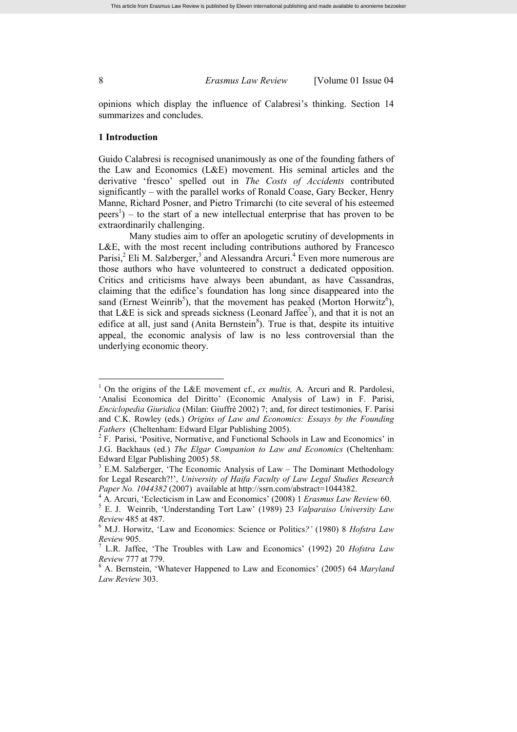opinions which display the influence of Calabresi's thinking. Section 14 summarizes and concludes.

#### **1 Introduction**

Guido Calabresi is recognised unanimously as one of the founding fathers of the Law and Economics (L&E) movement. His seminal articles and the derivative 'fresco' spelled out in *The Costs of Accidents* contributed significantly – with the parallel works of Ronald Coase, Gary Becker, Henry Manne, Richard Posner, and Pietro Trimarchi (to cite several of his esteemed  $\text{peers}^1$ ) – to the start of a new intellectual enterprise that has proven to be extraordinarily challenging.

Many studies aim to offer an apologetic scrutiny of developments in L&E, with the most recent including contributions authored by Francesco Parisi, $^2$  Eli M. Salzberger, $^3$  and Alessandra Arcuri.<sup>4</sup> Even more numerous are those authors who have volunteered to construct a dedicated opposition. Critics and criticisms have always been abundant, as have Cassandras, claiming that the edifice's foundation has long since disappeared into the sand (Ernest Weinrib<sup>5</sup>), that the movement has peaked (Morton Horwitz<sup>6</sup>), that L&E is sick and spreads sickness (Leonard Jaffee<sup>7</sup>), and that it is not an edifice at all, just sand (Anita Bernstein ${}^{8}$ ). True is that, despite its intuitive appeal, the economic analysis of law is no less controversial than the underlying economic theory.

<sup>1</sup> On the origins of the L&E movement cf., *ex multis,* A. Arcuri and R. Pardolesi, 'Analisi Economica del Diritto' (Economic Analysis of Law) in F. Parisi, *Enciclopedia Giuridica* (Milan: Giuffrè 2002) 7; and, for direct testimonies*,* F. Parisi and C.K. Rowley (eds.) *Origins of Law and Economics: Essays by the Founding Fathers* (Cheltenham: Edward Elgar Publishing 2005).

<sup>2</sup> F. Parisi, 'Positive, Normative, and Functional Schools in Law and Economics' in J.G. Backhaus (ed.) *The Elgar Companion to Law and Economics* (Cheltenham: Edward Elgar Publishing 2005) 58.

<sup>3</sup> E.M. Salzberger, 'The Economic Analysis of Law – The Dominant Methodology for Legal Research?!', *University of Haifa Faculty of Law Legal Studies Research Paper No. 1044382* (2007) available at http://ssrn.com/abstract=1044382.

<sup>4</sup> A. Arcuri, 'Eclecticism in Law and Economics' (2008) 1 *Erasmus Law Review* 60.

<sup>5</sup> E. J. Weinrib, 'Understanding Tort Law' (1989) 23 *Valparaiso University Law Review* 485 at 487.

<sup>6</sup> M.J. Horwitz, 'Law and Economics: Science or Politics*?'* (1980) 8 *Hofstra Law Review* 905.

<sup>7</sup> L.R. Jaffee, 'The Troubles with Law and Economics' (1992) 20 *Hofstra Law Review* 777 at 779.

<sup>8</sup> A. Bernstein, 'Whatever Happened to Law and Economics' (2005) 64 *Maryland Law Review* 303.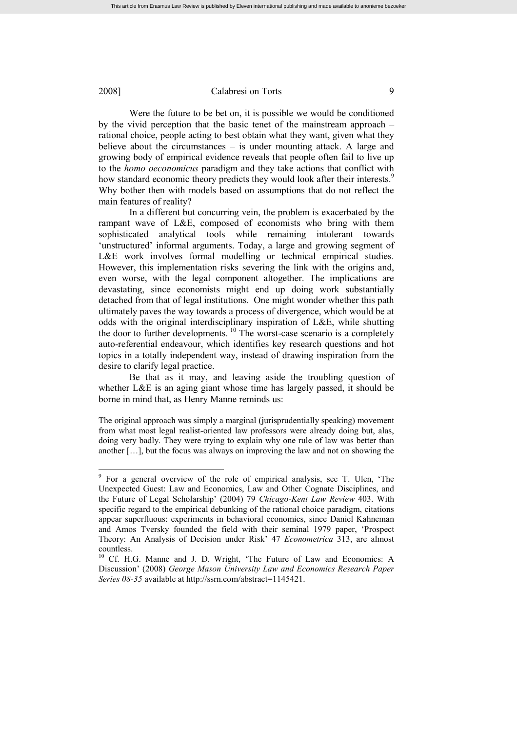Were the future to be bet on, it is possible we would be conditioned by the vivid perception that the basic tenet of the mainstream approach – rational choice, people acting to best obtain what they want, given what they believe about the circumstances – is under mounting attack. A large and growing body of empirical evidence reveals that people often fail to live up to the *homo oeconomicus* paradigm and they take actions that conflict with how standard economic theory predicts they would look after their interests.<sup>9</sup> Why bother then with models based on assumptions that do not reflect the main features of reality?

In a different but concurring vein, the problem is exacerbated by the rampant wave of L&E, composed of economists who bring with them sophisticated analytical tools while remaining intolerant towards 'unstructured' informal arguments. Today, a large and growing segment of L&E work involves formal modelling or technical empirical studies. However, this implementation risks severing the link with the origins and, even worse, with the legal component altogether. The implications are devastating, since economists might end up doing work substantially detached from that of legal institutions. One might wonder whether this path ultimately paves the way towards a process of divergence, which would be at odds with the original interdisciplinary inspiration of L&E, while shutting the door to further developments.<sup>10</sup> The worst-case scenario is a completely auto-referential endeavour, which identifies key research questions and hot topics in a totally independent way, instead of drawing inspiration from the desire to clarify legal practice.

Be that as it may, and leaving aside the troubling question of whether L&E is an aging giant whose time has largely passed, it should be borne in mind that, as Henry Manne reminds us:

The original approach was simply a marginal (jurisprudentially speaking) movement from what most legal realist-oriented law professors were already doing but, alas, doing very badly. They were trying to explain why one rule of law was better than another […], but the focus was always on improving the law and not on showing the

<sup>&</sup>lt;sup>9</sup> For a general overview of the role of empirical analysis, see T. Ulen, 'The Unexpected Guest: Law and Economics, Law and Other Cognate Disciplines, and the Future of Legal Scholarship' (2004) 79 *Chicago-Kent Law Review* 403. With specific regard to the empirical debunking of the rational choice paradigm, citations appear superfluous: experiments in behavioral economics, since Daniel Kahneman and Amos Tversky founded the field with their seminal 1979 paper, 'Prospect Theory: An Analysis of Decision under Risk' 47 *Econometrica* 313, are almost countless.

<sup>&</sup>lt;sup>10</sup> Cf. H.G. Manne and J. D. Wright, 'The Future of Law and Economics: A Discussion' (2008) *George Mason University Law and Economics Research Paper Series 08-35* available at http://ssrn.com/abstract=1145421.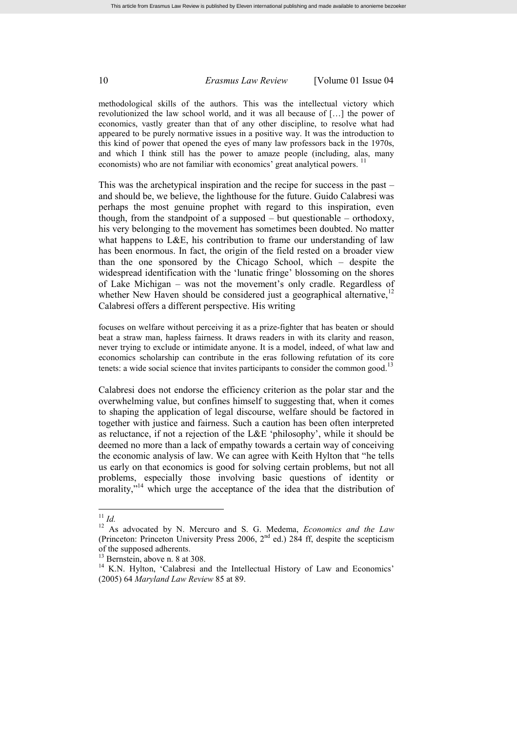methodological skills of the authors. This was the intellectual victory which revolutionized the law school world, and it was all because of […] the power of economics, vastly greater than that of any other discipline, to resolve what had appeared to be purely normative issues in a positive way. It was the introduction to this kind of power that opened the eyes of many law professors back in the 1970s, and which I think still has the power to amaze people (including, alas, many economists) who are not familiar with economics' great analytical powers.<sup>11</sup>

This was the archetypical inspiration and the recipe for success in the past – and should be, we believe, the lighthouse for the future. Guido Calabresi was perhaps the most genuine prophet with regard to this inspiration, even though, from the standpoint of a supposed – but questionable – orthodoxy, his very belonging to the movement has sometimes been doubted. No matter what happens to L&E, his contribution to frame our understanding of law has been enormous. In fact, the origin of the field rested on a broader view than the one sponsored by the Chicago School, which – despite the widespread identification with the 'lunatic fringe' blossoming on the shores of Lake Michigan – was not the movement's only cradle. Regardless of whether New Haven should be considered just a geographical alternative.<sup>12</sup> Calabresi offers a different perspective. His writing

focuses on welfare without perceiving it as a prize-fighter that has beaten or should beat a straw man, hapless fairness. It draws readers in with its clarity and reason, never trying to exclude or intimidate anyone. It is a model, indeed, of what law and economics scholarship can contribute in the eras following refutation of its core tenets: a wide social science that invites participants to consider the common good.<sup>13</sup>

Calabresi does not endorse the efficiency criterion as the polar star and the overwhelming value, but confines himself to suggesting that, when it comes to shaping the application of legal discourse, welfare should be factored in together with justice and fairness. Such a caution has been often interpreted as reluctance, if not a rejection of the L&E 'philosophy', while it should be deemed no more than a lack of empathy towards a certain way of conceiving the economic analysis of law. We can agree with Keith Hylton that "he tells us early on that economics is good for solving certain problems, but not all problems, especially those involving basic questions of identity or morality,"<sup>14</sup> which urge the acceptance of the idea that the distribution of

<sup>11</sup> *Id.*

<sup>12</sup> As advocated by N. Mercuro and S. G. Medema, *Economics and the Law* (Princeton: Princeton University Press 2006,  $2<sup>nd</sup>$  ed.) 284 ff, despite the scepticism of the supposed adherents.

 $13$  Bernstein, above n. 8 at 308.

<sup>&</sup>lt;sup>14</sup> K.N. Hylton, 'Calabresi and the Intellectual History of Law and Economics' (2005) 64 *Maryland Law Review* 85 at 89.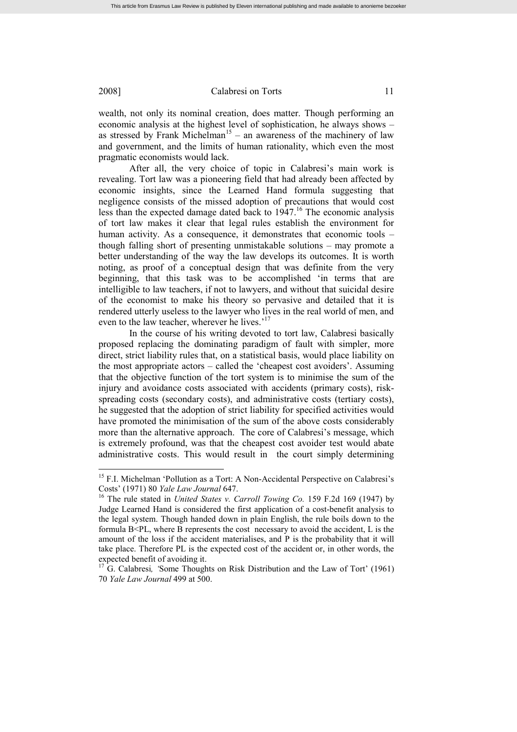wealth, not only its nominal creation, does matter. Though performing an economic analysis at the highest level of sophistication, he always shows – as stressed by Frank Michelman<sup>15</sup> – an awareness of the machinery of law and government, and the limits of human rationality, which even the most pragmatic economists would lack.

After all, the very choice of topic in Calabresi's main work is revealing. Tort law was a pioneering field that had already been affected by economic insights, since the Learned Hand formula suggesting that negligence consists of the missed adoption of precautions that would cost less than the expected damage dated back to  $1947$ <sup>16</sup>. The economic analysis of tort law makes it clear that legal rules establish the environment for human activity. As a consequence, it demonstrates that economic tools – though falling short of presenting unmistakable solutions – may promote a better understanding of the way the law develops its outcomes. It is worth noting, as proof of a conceptual design that was definite from the very beginning, that this task was to be accomplished 'in terms that are intelligible to law teachers, if not to lawyers, and without that suicidal desire of the economist to make his theory so pervasive and detailed that it is rendered utterly useless to the lawyer who lives in the real world of men, and even to the law teacher, wherever he lives.'<sup>17</sup>

In the course of his writing devoted to tort law, Calabresi basically proposed replacing the dominating paradigm of fault with simpler, more direct, strict liability rules that, on a statistical basis, would place liability on the most appropriate actors – called the 'cheapest cost avoiders'. Assuming that the objective function of the tort system is to minimise the sum of the injury and avoidance costs associated with accidents (primary costs), riskspreading costs (secondary costs), and administrative costs (tertiary costs), he suggested that the adoption of strict liability for specified activities would have promoted the minimisation of the sum of the above costs considerably more than the alternative approach. The core of Calabresi's message, which is extremely profound, was that the cheapest cost avoider test would abate administrative costs. This would result in the court simply determining

<sup>&</sup>lt;sup>15</sup> F.I. Michelman 'Pollution as a Tort: A Non-Accidental Perspective on Calabresi's Costs' (1971) 80 *Yale Law Journal* 647.

<sup>16</sup> The rule stated in *United States v. Carroll Towing Co.* 159 F.2d 169 (1947) by Judge Learned Hand is considered the first application of a cost-benefit analysis to the legal system. Though handed down in plain English, the rule boils down to the formula  $B < PL$ , where B represents the cost necessary to avoid the accident, L is the amount of the loss if the accident materialises, and P is the probability that it will take place. Therefore PL is the expected cost of the accident or, in other words, the expected benefit of avoiding it.

<sup>&</sup>lt;sup>17</sup> G. Calabresi, *'Some Thoughts on Risk Distribution and the Law of Tort'* (1961) 70 *Yale Law Journal* 499 at 500.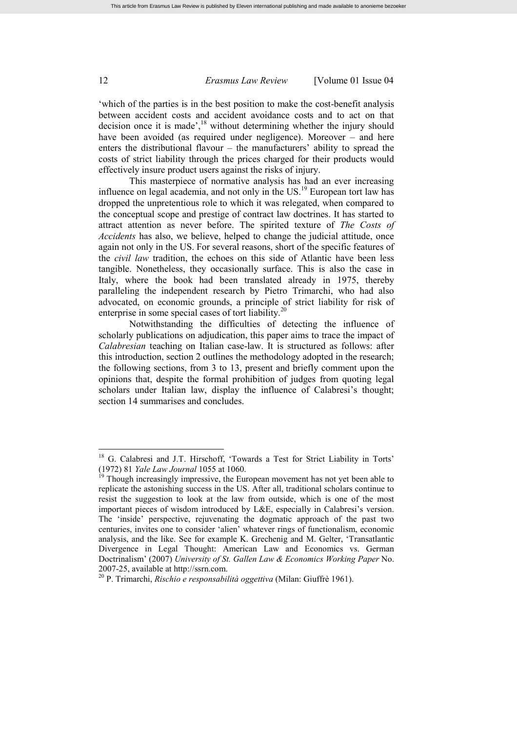'which of the parties is in the best position to make the cost-benefit analysis between accident costs and accident avoidance costs and to act on that decision once it is made', $18$  without determining whether the injury should have been avoided (as required under negligence). Moreover – and here enters the distributional flavour – the manufacturers' ability to spread the costs of strict liability through the prices charged for their products would effectively insure product users against the risks of injury.

This masterpiece of normative analysis has had an ever increasing influence on legal academia, and not only in the US.<sup>19</sup> European tort law has dropped the unpretentious role to which it was relegated, when compared to the conceptual scope and prestige of contract law doctrines. It has started to attract attention as never before. The spirited texture of *The Costs of Accidents* has also, we believe, helped to change the judicial attitude, once again not only in the US. For several reasons, short of the specific features of the *civil law* tradition, the echoes on this side of Atlantic have been less tangible. Nonetheless, they occasionally surface. This is also the case in Italy, where the book had been translated already in 1975, thereby paralleling the independent research by Pietro Trimarchi, who had also advocated, on economic grounds, a principle of strict liability for risk of enterprise in some special cases of tort liability.<sup>20</sup>

Notwithstanding the difficulties of detecting the influence of scholarly publications on adjudication, this paper aims to trace the impact of *Calabresian* teaching on Italian case-law. It is structured as follows: after this introduction, section 2 outlines the methodology adopted in the research; the following sections, from 3 to 13, present and briefly comment upon the opinions that, despite the formal prohibition of judges from quoting legal scholars under Italian law, display the influence of Calabresi's thought; section 14 summarises and concludes.

<sup>18</sup> G. Calabresi and J.T. Hirschoff, 'Towards a Test for Strict Liability in Torts' (1972) 81 *Yale Law Journal* 1055 at 1060.

 $19$  Though increasingly impressive, the European movement has not yet been able to replicate the astonishing success in the US. After all, traditional scholars continue to resist the suggestion to look at the law from outside, which is one of the most important pieces of wisdom introduced by L&E, especially in Calabresi's version. The 'inside' perspective, rejuvenating the dogmatic approach of the past two centuries, invites one to consider 'alien' whatever rings of functionalism, economic analysis, and the like. See for example K. Grechenig and M. Gelter, 'Transatlantic Divergence in Legal Thought: American Law and Economics vs. German Doctrinalism' (2007) *University of St. Gallen Law & Economics Working Paper* No. 2007-25, available at http://ssrn.com.

<sup>20</sup> P. Trimarchi, *Rischio e responsabilità oggettiva* (Milan: Giuffrè 1961).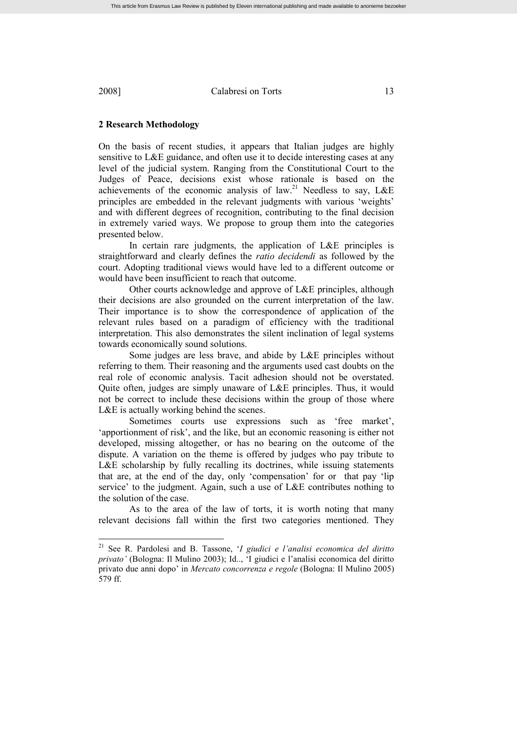### **2 Research Methodology**

On the basis of recent studies, it appears that Italian judges are highly sensitive to L&E guidance, and often use it to decide interesting cases at any level of the judicial system. Ranging from the Constitutional Court to the Judges of Peace, decisions exist whose rationale is based on the achievements of the economic analysis of law.<sup>21</sup> Needless to say,  $L \& E$ principles are embedded in the relevant judgments with various 'weights' and with different degrees of recognition, contributing to the final decision in extremely varied ways. We propose to group them into the categories presented below.

In certain rare judgments, the application of L&E principles is straightforward and clearly defines the *ratio decidendi* as followed by the court. Adopting traditional views would have led to a different outcome or would have been insufficient to reach that outcome.

Other courts acknowledge and approve of L&E principles, although their decisions are also grounded on the current interpretation of the law. Their importance is to show the correspondence of application of the relevant rules based on a paradigm of efficiency with the traditional interpretation. This also demonstrates the silent inclination of legal systems towards economically sound solutions.

Some judges are less brave, and abide by L&E principles without referring to them. Their reasoning and the arguments used cast doubts on the real role of economic analysis. Tacit adhesion should not be overstated. Quite often, judges are simply unaware of L&E principles. Thus, it would not be correct to include these decisions within the group of those where L&E is actually working behind the scenes.

Sometimes courts use expressions such as 'free market', 'apportionment of risk', and the like, but an economic reasoning is either not developed, missing altogether, or has no bearing on the outcome of the dispute. A variation on the theme is offered by judges who pay tribute to L&E scholarship by fully recalling its doctrines, while issuing statements that are, at the end of the day, only 'compensation' for or that pay 'lip service' to the judgment. Again, such a use of L&E contributes nothing to the solution of the case.

As to the area of the law of torts, it is worth noting that many relevant decisions fall within the first two categories mentioned. They

<sup>21</sup> See R. Pardolesi and B. Tassone, '*I giudici e l'analisi economica del diritto privato'* (Bologna: Il Mulino 2003); Id.., 'I giudici e l'analisi economica del diritto privato due anni dopo' in *Mercato concorrenza e regole* (Bologna: Il Mulino 2005) 579 ff.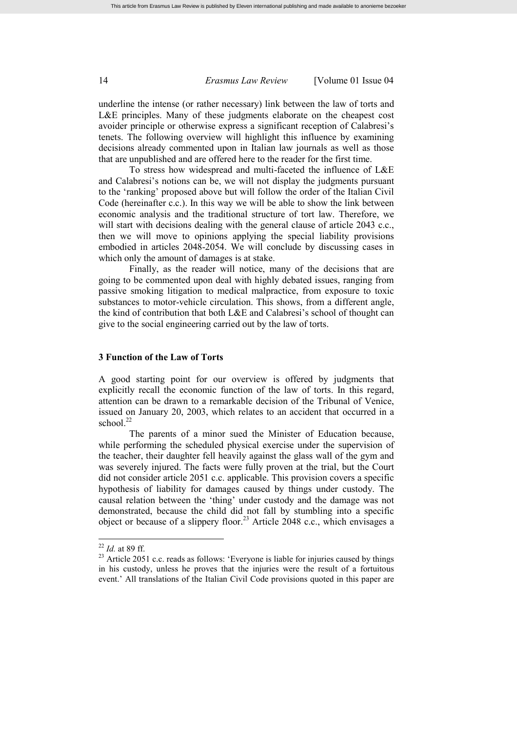underline the intense (or rather necessary) link between the law of torts and L&E principles. Many of these judgments elaborate on the cheapest cost avoider principle or otherwise express a significant reception of Calabresi's tenets. The following overview will highlight this influence by examining decisions already commented upon in Italian law journals as well as those that are unpublished and are offered here to the reader for the first time.

To stress how widespread and multi-faceted the influence of L&E and Calabresi's notions can be, we will not display the judgments pursuant to the 'ranking' proposed above but will follow the order of the Italian Civil Code (hereinafter c.c.). In this way we will be able to show the link between economic analysis and the traditional structure of tort law. Therefore, we will start with decisions dealing with the general clause of article 2043 c.c., then we will move to opinions applying the special liability provisions embodied in articles 2048-2054. We will conclude by discussing cases in which only the amount of damages is at stake.

Finally, as the reader will notice, many of the decisions that are going to be commented upon deal with highly debated issues, ranging from passive smoking litigation to medical malpractice, from exposure to toxic substances to motor-vehicle circulation. This shows, from a different angle, the kind of contribution that both L&E and Calabresi's school of thought can give to the social engineering carried out by the law of torts.

# **3 Function of the Law of Torts**

A good starting point for our overview is offered by judgments that explicitly recall the economic function of the law of torts. In this regard, attention can be drawn to a remarkable decision of the Tribunal of Venice, issued on January 20, 2003, which relates to an accident that occurred in a school. $^{22}$ 

The parents of a minor sued the Minister of Education because, while performing the scheduled physical exercise under the supervision of the teacher, their daughter fell heavily against the glass wall of the gym and was severely injured. The facts were fully proven at the trial, but the Court did not consider article 2051 c.c. applicable. This provision covers a specific hypothesis of liability for damages caused by things under custody. The causal relation between the 'thing' under custody and the damage was not demonstrated, because the child did not fall by stumbling into a specific object or because of a slippery floor.<sup>23</sup> Article 2048 c.c., which envisages a

<sup>22</sup> *Id.* at 89 ff.

<sup>&</sup>lt;sup>23</sup> Article 2051 c.c. reads as follows: 'Everyone is liable for injuries caused by things in his custody, unless he proves that the injuries were the result of a fortuitous event.' All translations of the Italian Civil Code provisions quoted in this paper are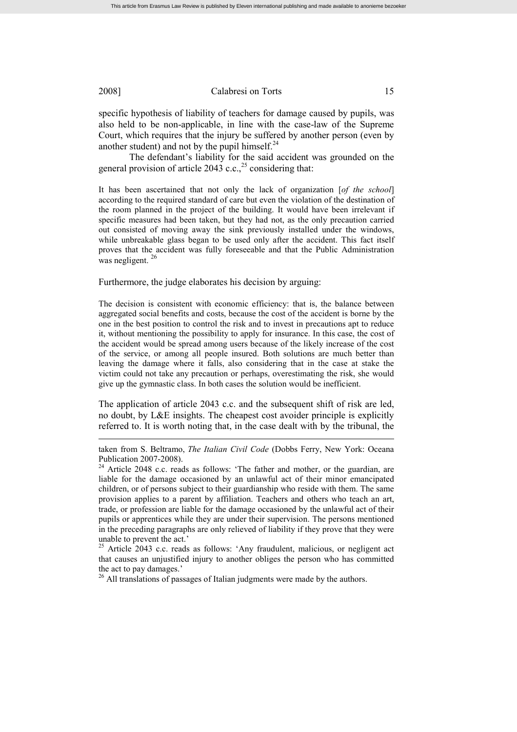specific hypothesis of liability of teachers for damage caused by pupils, was also held to be non-applicable, in line with the case-law of the Supreme Court, which requires that the injury be suffered by another person (even by another student) and not by the pupil himself.<sup>24</sup>

The defendant's liability for the said accident was grounded on the general provision of article 2043 c.c.,<sup>25</sup> considering that:

It has been ascertained that not only the lack of organization [*of the school*] according to the required standard of care but even the violation of the destination of the room planned in the project of the building. It would have been irrelevant if specific measures had been taken, but they had not, as the only precaution carried out consisted of moving away the sink previously installed under the windows, while unbreakable glass began to be used only after the accident. This fact itself proves that the accident was fully foreseeable and that the Public Administration was negligent.<sup>26</sup>

Furthermore, the judge elaborates his decision by arguing:

The decision is consistent with economic efficiency: that is, the balance between aggregated social benefits and costs, because the cost of the accident is borne by the one in the best position to control the risk and to invest in precautions apt to reduce it, without mentioning the possibility to apply for insurance. In this case, the cost of the accident would be spread among users because of the likely increase of the cost of the service, or among all people insured. Both solutions are much better than leaving the damage where it falls, also considering that in the case at stake the victim could not take any precaution or perhaps, overestimating the risk, she would give up the gymnastic class. In both cases the solution would be inefficient.

The application of article 2043 c.c. and the subsequent shift of risk are led, no doubt, by L&E insights. The cheapest cost avoider principle is explicitly referred to. It is worth noting that, in the case dealt with by the tribunal, the

<sup>25</sup> Article 2043 c.c. reads as follows: 'Any fraudulent, malicious, or negligent act that causes an unjustified injury to another obliges the person who has committed the act to pay damages.'

<sup>26</sup> All translations of passages of Italian judgments were made by the authors.

taken from S. Beltramo, *The Italian Civil Code* (Dobbs Ferry, New York: Oceana Publication 2007-2008).

 $24$  Article 2048 c.c. reads as follows: 'The father and mother, or the guardian, are liable for the damage occasioned by an unlawful act of their minor emancipated children, or of persons subject to their guardianship who reside with them. The same provision applies to a parent by affiliation. Teachers and others who teach an art, trade, or profession are liable for the damage occasioned by the unlawful act of their pupils or apprentices while they are under their supervision. The persons mentioned in the preceding paragraphs are only relieved of liability if they prove that they were unable to prevent the act.'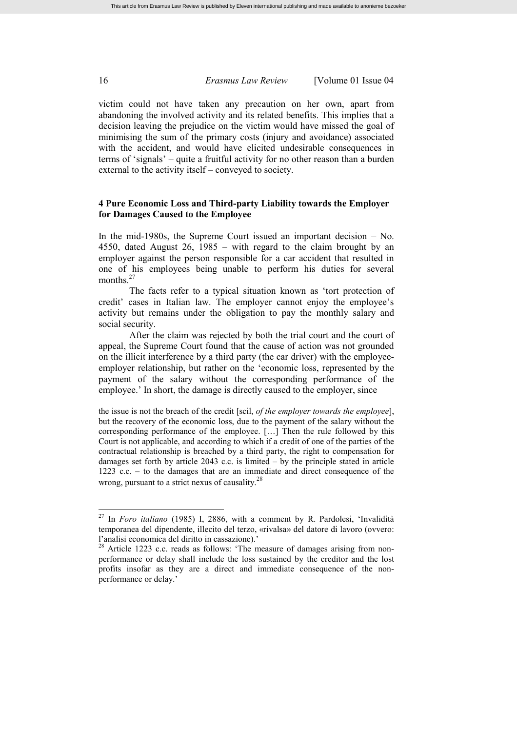victim could not have taken any precaution on her own, apart from abandoning the involved activity and its related benefits. This implies that a decision leaving the prejudice on the victim would have missed the goal of minimising the sum of the primary costs (injury and avoidance) associated with the accident, and would have elicited undesirable consequences in terms of 'signals' – quite a fruitful activity for no other reason than a burden external to the activity itself – conveyed to society.

# **4 Pure Economic Loss and Third-party Liability towards the Employer for Damages Caused to the Employee**

In the mid-1980s, the Supreme Court issued an important decision – No. 4550, dated August 26, 1985 – with regard to the claim brought by an employer against the person responsible for a car accident that resulted in one of his employees being unable to perform his duties for several months.<sup>27</sup>

The facts refer to a typical situation known as 'tort protection of credit' cases in Italian law. The employer cannot enjoy the employee's activity but remains under the obligation to pay the monthly salary and social security.

After the claim was rejected by both the trial court and the court of appeal, the Supreme Court found that the cause of action was not grounded on the illicit interference by a third party (the car driver) with the employeeemployer relationship, but rather on the 'economic loss, represented by the payment of the salary without the corresponding performance of the employee.' In short, the damage is directly caused to the employer, since

the issue is not the breach of the credit [scil, *of the employer towards the employee*], but the recovery of the economic loss, due to the payment of the salary without the corresponding performance of the employee. […] Then the rule followed by this Court is not applicable, and according to which if a credit of one of the parties of the contractual relationship is breached by a third party, the right to compensation for damages set forth by article 2043 c.c. is limited – by the principle stated in article 1223 c.c. – to the damages that are an immediate and direct consequence of the wrong, pursuant to a strict nexus of causality. $^{28}$ 

<sup>27</sup> In *Foro italiano* (1985) I, 2886, with a comment by R. Pardolesi, 'Invalidità temporanea del dipendente, illecito del terzo, «rivalsa» del datore di lavoro (ovvero: l'analisi economica del diritto in cassazione).'

<sup>&</sup>lt;sup>28</sup> Article 1223 c.c. reads as follows: 'The measure of damages arising from nonperformance or delay shall include the loss sustained by the creditor and the lost profits insofar as they are a direct and immediate consequence of the nonperformance or delay.'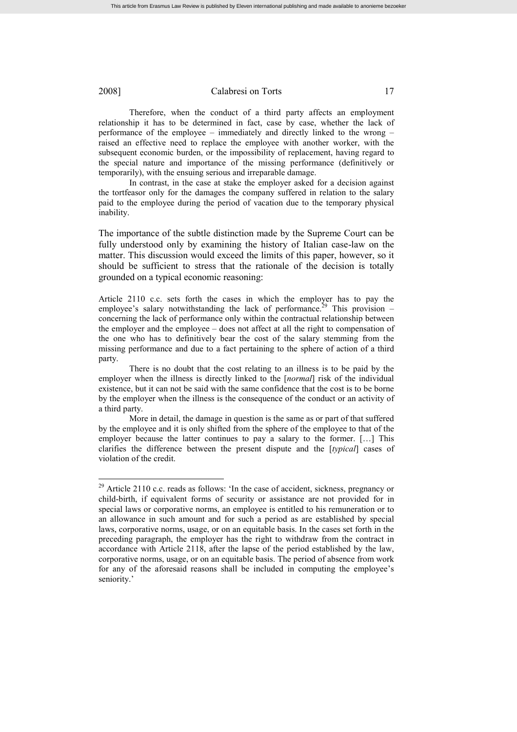Therefore, when the conduct of a third party affects an employment relationship it has to be determined in fact, case by case, whether the lack of performance of the employee – immediately and directly linked to the wrong – raised an effective need to replace the employee with another worker, with the subsequent economic burden, or the impossibility of replacement, having regard to the special nature and importance of the missing performance (definitively or temporarily), with the ensuing serious and irreparable damage.

In contrast, in the case at stake the employer asked for a decision against the tortfeasor only for the damages the company suffered in relation to the salary paid to the employee during the period of vacation due to the temporary physical inability.

The importance of the subtle distinction made by the Supreme Court can be fully understood only by examining the history of Italian case-law on the matter. This discussion would exceed the limits of this paper, however, so it should be sufficient to stress that the rationale of the decision is totally grounded on a typical economic reasoning:

Article 2110 c.c. sets forth the cases in which the employer has to pay the employee's salary notwithstanding the lack of performance.<sup>29</sup> This provision – concerning the lack of performance only within the contractual relationship between the employer and the employee – does not affect at all the right to compensation of the one who has to definitively bear the cost of the salary stemming from the missing performance and due to a fact pertaining to the sphere of action of a third party.

There is no doubt that the cost relating to an illness is to be paid by the employer when the illness is directly linked to the [*normal*] risk of the individual existence, but it can not be said with the same confidence that the cost is to be borne by the employer when the illness is the consequence of the conduct or an activity of a third party.

More in detail, the damage in question is the same as or part of that suffered by the employee and it is only shifted from the sphere of the employee to that of the employer because the latter continues to pay a salary to the former. […] This clarifies the difference between the present dispute and the [*typical*] cases of violation of the credit.

<sup>&</sup>lt;sup>29</sup> Article 2110 c.c. reads as follows: 'In the case of accident, sickness, pregnancy or child-birth, if equivalent forms of security or assistance are not provided for in special laws or corporative norms, an employee is entitled to his remuneration or to an allowance in such amount and for such a period as are established by special laws, corporative norms, usage, or on an equitable basis. In the cases set forth in the preceding paragraph, the employer has the right to withdraw from the contract in accordance with Article 2118, after the lapse of the period established by the law, corporative norms, usage, or on an equitable basis. The period of absence from work for any of the aforesaid reasons shall be included in computing the employee's seniority.'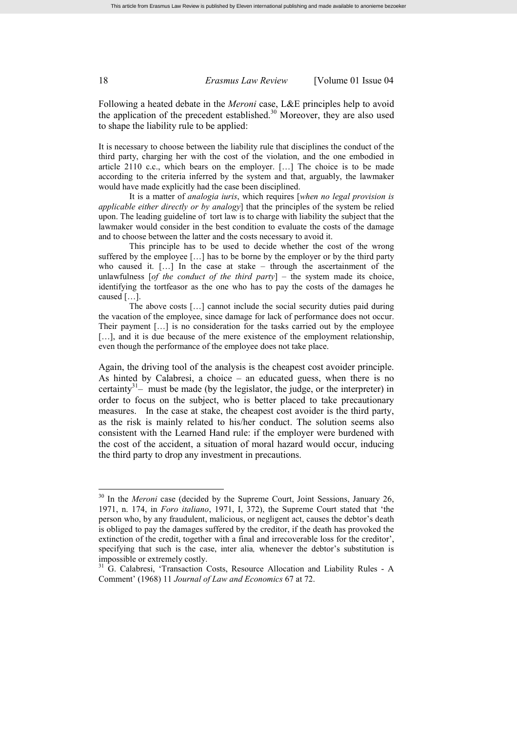Following a heated debate in the *Meroni* case, L&E principles help to avoid the application of the precedent established.<sup>30</sup> Moreover, they are also used to shape the liability rule to be applied:

It is necessary to choose between the liability rule that disciplines the conduct of the third party, charging her with the cost of the violation, and the one embodied in article 2110 c.c., which bears on the employer. […] The choice is to be made according to the criteria inferred by the system and that, arguably, the lawmaker would have made explicitly had the case been disciplined.

It is a matter of *analogia iuris*, which requires [*when no legal provision is applicable either directly or by analogy*] that the principles of the system be relied upon. The leading guideline of tort law is to charge with liability the subject that the lawmaker would consider in the best condition to evaluate the costs of the damage and to choose between the latter and the costs necessary to avoid it.

This principle has to be used to decide whether the cost of the wrong suffered by the employee […] has to be borne by the employer or by the third party who caused it. […] In the case at stake – through the ascertainment of the unlawfulness [*of the conduct of the third party*] – the system made its choice, identifying the tortfeasor as the one who has to pay the costs of the damages he caused […].

The above costs […] cannot include the social security duties paid during the vacation of the employee, since damage for lack of performance does not occur. Their payment […] is no consideration for the tasks carried out by the employee [...], and it is due because of the mere existence of the employment relationship, even though the performance of the employee does not take place.

Again, the driving tool of the analysis is the cheapest cost avoider principle. As hinted by Calabresi, a choice – an educated guess, when there is no certainty<sup>31</sup> $-$  must be made (by the legislator, the judge, or the interpreter) in order to focus on the subject, who is better placed to take precautionary measures. In the case at stake, the cheapest cost avoider is the third party, as the risk is mainly related to his/her conduct. The solution seems also consistent with the Learned Hand rule: if the employer were burdened with the cost of the accident, a situation of moral hazard would occur, inducing the third party to drop any investment in precautions.

<sup>&</sup>lt;sup>30</sup> In the *Meroni* case (decided by the Supreme Court, Joint Sessions, January 26, 1971, n. 174, in *Foro italiano*, 1971, I, 372), the Supreme Court stated that 'the person who, by any fraudulent, malicious, or negligent act, causes the debtor's death is obliged to pay the damages suffered by the creditor, if the death has provoked the extinction of the credit, together with a final and irrecoverable loss for the creditor', specifying that such is the case, inter alia*,* whenever the debtor's substitution is impossible or extremely costly.

<sup>&</sup>lt;sup>31</sup> G. Calabresi, 'Transaction Costs, Resource Allocation and Liability Rules - A Comment' (1968) 11 *Journal of Law and Economics* 67 at 72.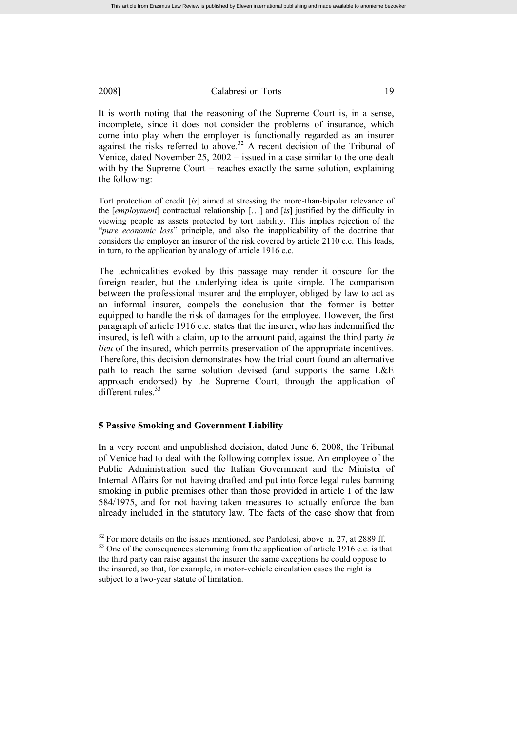It is worth noting that the reasoning of the Supreme Court is, in a sense, incomplete, since it does not consider the problems of insurance, which come into play when the employer is functionally regarded as an insurer against the risks referred to above.<sup>32</sup> A recent decision of the Tribunal of Venice, dated November 25, 2002 – issued in a case similar to the one dealt with by the Supreme Court – reaches exactly the same solution, explaining the following:

Tort protection of credit [*is*] aimed at stressing the more-than-bipolar relevance of the [*employment*] contractual relationship […] and [*is*] justified by the difficulty in viewing people as assets protected by tort liability. This implies rejection of the "*pure economic loss*" principle, and also the inapplicability of the doctrine that considers the employer an insurer of the risk covered by article 2110 c.c. This leads, in turn, to the application by analogy of article 1916 c.c.

The technicalities evoked by this passage may render it obscure for the foreign reader, but the underlying idea is quite simple. The comparison between the professional insurer and the employer, obliged by law to act as an informal insurer, compels the conclusion that the former is better equipped to handle the risk of damages for the employee. However, the first paragraph of article 1916 c.c. states that the insurer, who has indemnified the insured, is left with a claim, up to the amount paid, against the third party *in lieu* of the insured, which permits preservation of the appropriate incentives. Therefore, this decision demonstrates how the trial court found an alternative path to reach the same solution devised (and supports the same L&E approach endorsed) by the Supreme Court, through the application of different rules. $33$ 

#### **5 Passive Smoking and Government Liability**

In a very recent and unpublished decision, dated June 6, 2008, the Tribunal of Venice had to deal with the following complex issue. An employee of the Public Administration sued the Italian Government and the Minister of Internal Affairs for not having drafted and put into force legal rules banning smoking in public premises other than those provided in article 1 of the law 584/1975, and for not having taken measures to actually enforce the ban already included in the statutory law. The facts of the case show that from

 $32$  For more details on the issues mentioned, see Pardolesi, above n. 27, at 2889 ff.

<sup>&</sup>lt;sup>33</sup> One of the consequences stemming from the application of article 1916 c.c. is that the third party can raise against the insurer the same exceptions he could oppose to the insured, so that, for example, in motor-vehicle circulation cases the right is subject to a two-year statute of limitation.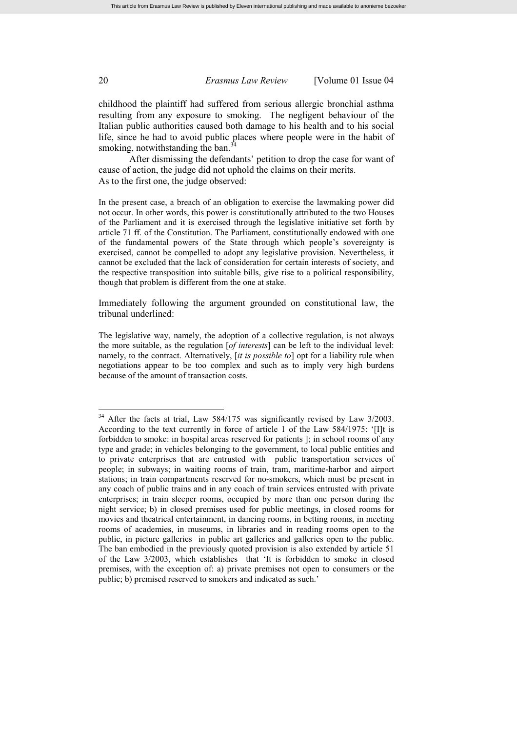childhood the plaintiff had suffered from serious allergic bronchial asthma resulting from any exposure to smoking. The negligent behaviour of the Italian public authorities caused both damage to his health and to his social life, since he had to avoid public places where people were in the habit of smoking, notwithstanding the ban. $\frac{3}{4}$ 

After dismissing the defendants' petition to drop the case for want of cause of action, the judge did not uphold the claims on their merits. As to the first one, the judge observed:

In the present case, a breach of an obligation to exercise the lawmaking power did not occur. In other words, this power is constitutionally attributed to the two Houses of the Parliament and it is exercised through the legislative initiative set forth by article 71 ff. of the Constitution. The Parliament, constitutionally endowed with one of the fundamental powers of the State through which people's sovereignty is exercised, cannot be compelled to adopt any legislative provision. Nevertheless, it cannot be excluded that the lack of consideration for certain interests of society, and the respective transposition into suitable bills, give rise to a political responsibility, though that problem is different from the one at stake.

Immediately following the argument grounded on constitutional law, the tribunal underlined:

The legislative way, namely, the adoption of a collective regulation, is not always the more suitable, as the regulation [*of interests*] can be left to the individual level: namely, to the contract. Alternatively, [*it is possible to*] opt for a liability rule when negotiations appear to be too complex and such as to imply very high burdens because of the amount of transaction costs.

<sup>&</sup>lt;sup>34</sup> After the facts at trial, Law 584/175 was significantly revised by Law 3/2003. According to the text currently in force of article 1 of the Law 584/1975: '[I]t is forbidden to smoke: in hospital areas reserved for patients ]; in school rooms of any type and grade; in vehicles belonging to the government, to local public entities and to private enterprises that are entrusted with public transportation services of people; in subways; in waiting rooms of train, tram, maritime-harbor and airport stations; in train compartments reserved for no-smokers, which must be present in any coach of public trains and in any coach of train services entrusted with private enterprises; in train sleeper rooms, occupied by more than one person during the night service; b) in closed premises used for public meetings, in closed rooms for movies and theatrical entertainment, in dancing rooms, in betting rooms, in meeting rooms of academies, in museums, in libraries and in reading rooms open to the public, in picture galleries in public art galleries and galleries open to the public. The ban embodied in the previously quoted provision is also extended by article 51 of the Law 3/2003, which establishes that 'It is forbidden to smoke in closed premises, with the exception of: a) private premises not open to consumers or the public; b) premised reserved to smokers and indicated as such.'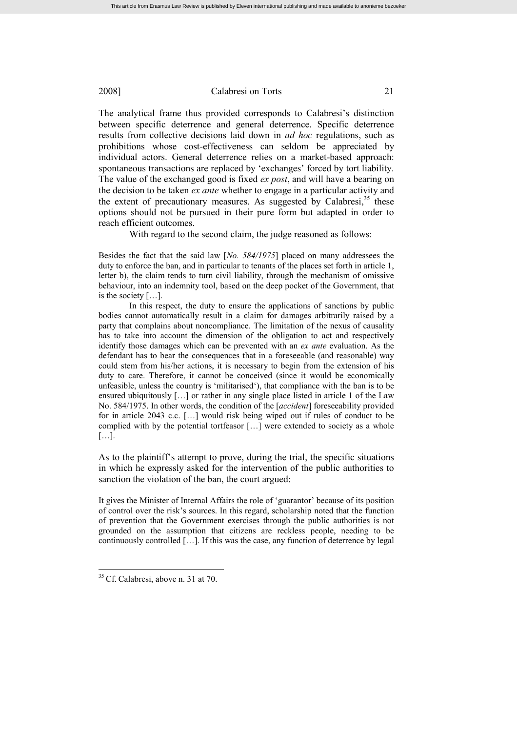The analytical frame thus provided corresponds to Calabresi's distinction between specific deterrence and general deterrence. Specific deterrence results from collective decisions laid down in *ad hoc* regulations, such as prohibitions whose cost-effectiveness can seldom be appreciated by individual actors. General deterrence relies on a market-based approach: spontaneous transactions are replaced by 'exchanges' forced by tort liability. The value of the exchanged good is fixed *ex post*, and will have a bearing on the decision to be taken *ex ante* whether to engage in a particular activity and the extent of precautionary measures. As suggested by Calabresi, $35$  these options should not be pursued in their pure form but adapted in order to reach efficient outcomes.

With regard to the second claim, the judge reasoned as follows:

Besides the fact that the said law [*No. 584/1975*] placed on many addressees the duty to enforce the ban, and in particular to tenants of the places set forth in article 1, letter b), the claim tends to turn civil liability, through the mechanism of omissive behaviour, into an indemnity tool, based on the deep pocket of the Government, that is the society […].

In this respect, the duty to ensure the applications of sanctions by public bodies cannot automatically result in a claim for damages arbitrarily raised by a party that complains about noncompliance. The limitation of the nexus of causality has to take into account the dimension of the obligation to act and respectively identify those damages which can be prevented with an *ex ante* evaluation. As the defendant has to bear the consequences that in a foreseeable (and reasonable) way could stem from his/her actions, it is necessary to begin from the extension of his duty to care. Therefore, it cannot be conceived (since it would be economically unfeasible, unless the country is 'militarised'), that compliance with the ban is to be ensured ubiquitously [...] or rather in any single place listed in article 1 of the Law No. 584/1975. In other words, the condition of the [*accident*] foreseeability provided for in article 2043 c.c. […] would risk being wiped out if rules of conduct to be complied with by the potential tortfeasor […] were extended to society as a whole […].

As to the plaintiff's attempt to prove, during the trial, the specific situations in which he expressly asked for the intervention of the public authorities to sanction the violation of the ban, the court argued:

It gives the Minister of Internal Affairs the role of 'guarantor' because of its position of control over the risk's sources. In this regard, scholarship noted that the function of prevention that the Government exercises through the public authorities is not grounded on the assumption that citizens are reckless people, needing to be continuously controlled […]. If this was the case, any function of deterrence by legal

<sup>&</sup>lt;sup>35</sup> Cf. Calabresi, above n. 31 at 70.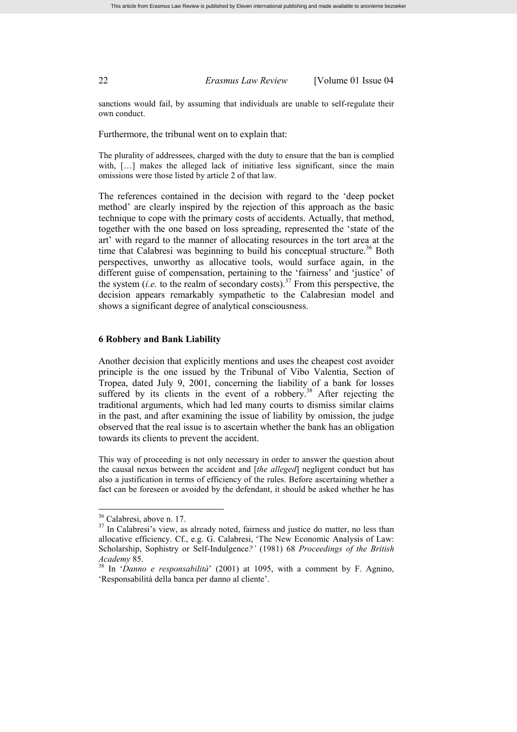sanctions would fail, by assuming that individuals are unable to self-regulate their own conduct.

Furthermore, the tribunal went on to explain that:

The plurality of addressees, charged with the duty to ensure that the ban is complied with, [...] makes the alleged lack of initiative less significant, since the main omissions were those listed by article 2 of that law.

The references contained in the decision with regard to the 'deep pocket method' are clearly inspired by the rejection of this approach as the basic technique to cope with the primary costs of accidents. Actually, that method, together with the one based on loss spreading, represented the 'state of the art' with regard to the manner of allocating resources in the tort area at the time that Calabresi was beginning to build his conceptual structure.<sup>36</sup> Both perspectives, unworthy as allocative tools, would surface again, in the different guise of compensation, pertaining to the 'fairness' and 'justice' of the system (*i.e.* to the realm of secondary costs).<sup>37</sup> From this perspective, the decision appears remarkably sympathetic to the Calabresian model and shows a significant degree of analytical consciousness.

# **6 Robbery and Bank Liability**

Another decision that explicitly mentions and uses the cheapest cost avoider principle is the one issued by the Tribunal of Vibo Valentia, Section of Tropea, dated July 9, 2001, concerning the liability of a bank for losses suffered by its clients in the event of a robbery.<sup>38</sup> After rejecting the traditional arguments, which had led many courts to dismiss similar claims in the past, and after examining the issue of liability by omission, the judge observed that the real issue is to ascertain whether the bank has an obligation towards its clients to prevent the accident.

This way of proceeding is not only necessary in order to answer the question about the causal nexus between the accident and [*the alleged*] negligent conduct but has also a justification in terms of efficiency of the rules. Before ascertaining whether a fact can be foreseen or avoided by the defendant, it should be asked whether he has

<sup>36</sup> Calabresi, above n. 17.

<sup>&</sup>lt;sup>37</sup> In Calabresi's view, as already noted, fairness and justice do matter, no less than allocative efficiency. Cf., e.g. G. Calabresi, 'The New Economic Analysis of Law: Scholarship, Sophistry or Self-Indulgence*?'* (1981) 68 *Proceedings of the British Academy* 85.

<sup>38</sup> In '*Danno e responsabilità*' (2001) at 1095, with a comment by F. Agnino, 'Responsabilità della banca per danno al cliente'.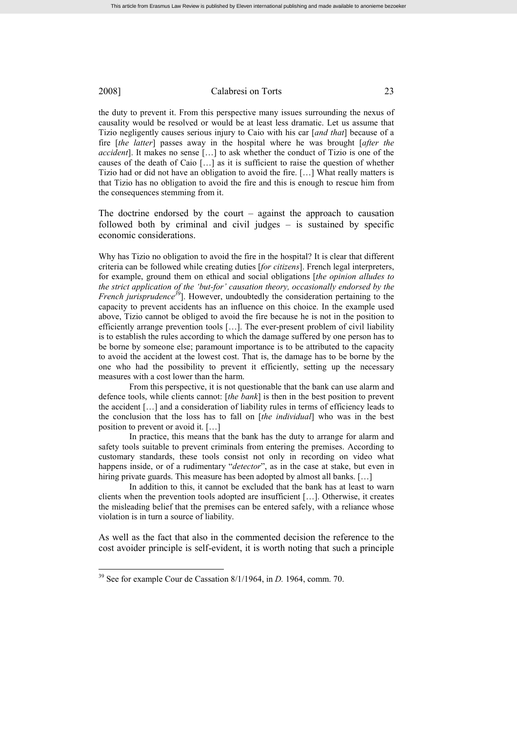the duty to prevent it. From this perspective many issues surrounding the nexus of causality would be resolved or would be at least less dramatic. Let us assume that Tizio negligently causes serious injury to Caio with his car [*and that*] because of a fire [*the latter*] passes away in the hospital where he was brought [*after the accident*]. It makes no sense […] to ask whether the conduct of Tizio is one of the causes of the death of Caio […] as it is sufficient to raise the question of whether Tizio had or did not have an obligation to avoid the fire. […] What really matters is that Tizio has no obligation to avoid the fire and this is enough to rescue him from the consequences stemming from it.

The doctrine endorsed by the court – against the approach to causation followed both by criminal and civil judges  $-$  is sustained by specific economic considerations.

Why has Tizio no obligation to avoid the fire in the hospital? It is clear that different criteria can be followed while creating duties [*for citizens*]. French legal interpreters, for example, ground them on ethical and social obligations [*the opinion alludes to the strict application of the 'but-for' causation theory, occasionally endorsed by the French jurisprudence<sup>39</sup>*]. However, undoubtedly the consideration pertaining to the capacity to prevent accidents has an influence on this choice. In the example used above, Tizio cannot be obliged to avoid the fire because he is not in the position to efficiently arrange prevention tools […]. The ever-present problem of civil liability is to establish the rules according to which the damage suffered by one person has to be borne by someone else; paramount importance is to be attributed to the capacity to avoid the accident at the lowest cost. That is, the damage has to be borne by the one who had the possibility to prevent it efficiently, setting up the necessary measures with a cost lower than the harm.

From this perspective, it is not questionable that the bank can use alarm and defence tools, while clients cannot: [*the bank*] is then in the best position to prevent the accident […] and a consideration of liability rules in terms of efficiency leads to the conclusion that the loss has to fall on [*the individual*] who was in the best position to prevent or avoid it. […]

In practice, this means that the bank has the duty to arrange for alarm and safety tools suitable to prevent criminals from entering the premises. According to customary standards, these tools consist not only in recording on video what happens inside, or of a rudimentary "*detector*", as in the case at stake, but even in hiring private guards. This measure has been adopted by almost all banks. [...]

In addition to this, it cannot be excluded that the bank has at least to warn clients when the prevention tools adopted are insufficient […]. Otherwise, it creates the misleading belief that the premises can be entered safely, with a reliance whose violation is in turn a source of liability.

As well as the fact that also in the commented decision the reference to the cost avoider principle is self-evident, it is worth noting that such a principle

<sup>39</sup> See for example Cour de Cassation 8/1/1964, in *D.* 1964, comm. 70.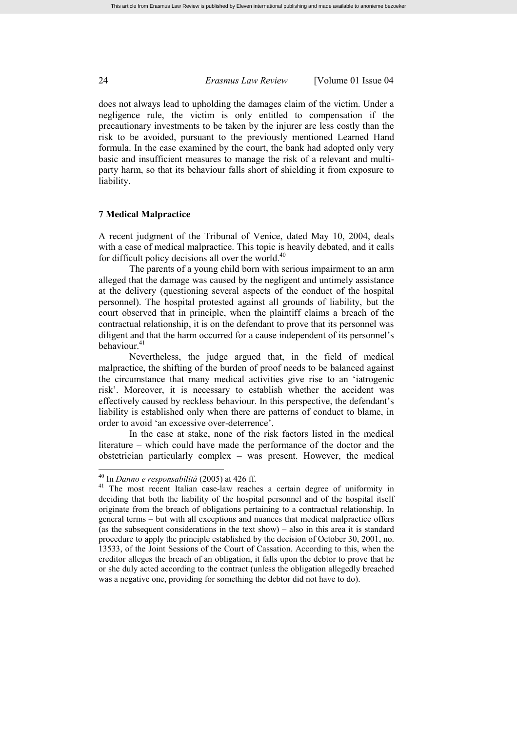does not always lead to upholding the damages claim of the victim. Under a negligence rule, the victim is only entitled to compensation if the precautionary investments to be taken by the injurer are less costly than the risk to be avoided, pursuant to the previously mentioned Learned Hand formula. In the case examined by the court, the bank had adopted only very basic and insufficient measures to manage the risk of a relevant and multiparty harm, so that its behaviour falls short of shielding it from exposure to liability.

#### **7 Medical Malpractice**

A recent judgment of the Tribunal of Venice, dated May 10, 2004, deals with a case of medical malpractice. This topic is heavily debated, and it calls for difficult policy decisions all over the world.<sup>40</sup>

The parents of a young child born with serious impairment to an arm alleged that the damage was caused by the negligent and untimely assistance at the delivery (questioning several aspects of the conduct of the hospital personnel). The hospital protested against all grounds of liability, but the court observed that in principle, when the plaintiff claims a breach of the contractual relationship, it is on the defendant to prove that its personnel was diligent and that the harm occurred for a cause independent of its personnel's behaviour.<sup>41</sup>

Nevertheless, the judge argued that, in the field of medical malpractice, the shifting of the burden of proof needs to be balanced against the circumstance that many medical activities give rise to an 'iatrogenic risk'. Moreover, it is necessary to establish whether the accident was effectively caused by reckless behaviour. In this perspective, the defendant's liability is established only when there are patterns of conduct to blame, in order to avoid 'an excessive over-deterrence'.

In the case at stake, none of the risk factors listed in the medical literature – which could have made the performance of the doctor and the obstetrician particularly complex – was present. However, the medical

<sup>40</sup> In *Danno e responsabilità* (2005) at 426 ff.

<sup>&</sup>lt;sup>41</sup> The most recent Italian case-law reaches a certain degree of uniformity in deciding that both the liability of the hospital personnel and of the hospital itself originate from the breach of obligations pertaining to a contractual relationship. In general terms – but with all exceptions and nuances that medical malpractice offers (as the subsequent considerations in the text show) – also in this area it is standard procedure to apply the principle established by the decision of October 30, 2001, no. 13533, of the Joint Sessions of the Court of Cassation. According to this, when the creditor alleges the breach of an obligation, it falls upon the debtor to prove that he or she duly acted according to the contract (unless the obligation allegedly breached was a negative one, providing for something the debtor did not have to do).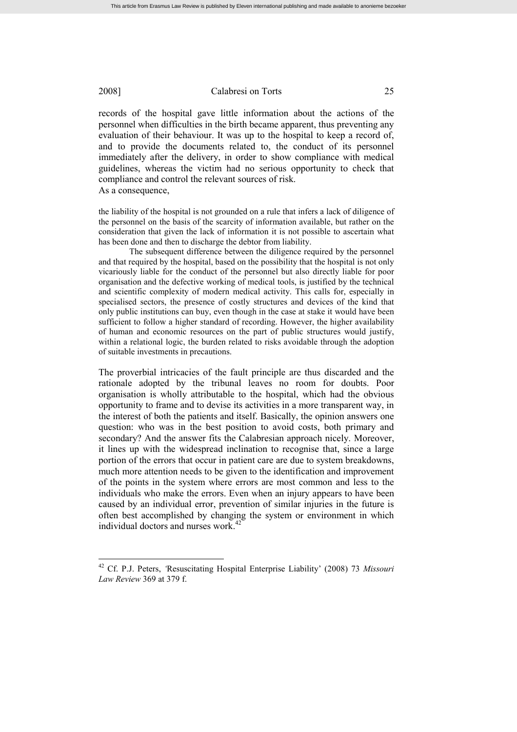records of the hospital gave little information about the actions of the personnel when difficulties in the birth became apparent, thus preventing any evaluation of their behaviour. It was up to the hospital to keep a record of, and to provide the documents related to, the conduct of its personnel immediately after the delivery, in order to show compliance with medical guidelines, whereas the victim had no serious opportunity to check that compliance and control the relevant sources of risk. As a consequence,

the liability of the hospital is not grounded on a rule that infers a lack of diligence of the personnel on the basis of the scarcity of information available, but rather on the consideration that given the lack of information it is not possible to ascertain what has been done and then to discharge the debtor from liability.

The subsequent difference between the diligence required by the personnel and that required by the hospital, based on the possibility that the hospital is not only vicariously liable for the conduct of the personnel but also directly liable for poor organisation and the defective working of medical tools, is justified by the technical and scientific complexity of modern medical activity. This calls for, especially in specialised sectors, the presence of costly structures and devices of the kind that only public institutions can buy, even though in the case at stake it would have been sufficient to follow a higher standard of recording. However, the higher availability of human and economic resources on the part of public structures would justify, within a relational logic, the burden related to risks avoidable through the adoption of suitable investments in precautions.

The proverbial intricacies of the fault principle are thus discarded and the rationale adopted by the tribunal leaves no room for doubts. Poor organisation is wholly attributable to the hospital, which had the obvious opportunity to frame and to devise its activities in a more transparent way, in the interest of both the patients and itself. Basically, the opinion answers one question: who was in the best position to avoid costs, both primary and secondary? And the answer fits the Calabresian approach nicely. Moreover, it lines up with the widespread inclination to recognise that, since a large portion of the errors that occur in patient care are due to system breakdowns, much more attention needs to be given to the identification and improvement of the points in the system where errors are most common and less to the individuals who make the errors. Even when an injury appears to have been caused by an individual error, prevention of similar injuries in the future is often best accomplished by changing the system or environment in which individual doctors and nurses work. 42

<sup>42</sup> Cf. P.J. Peters, *'*Resuscitating Hospital Enterprise Liability' (2008) 73 *Missouri Law Review* 369 at 379 f.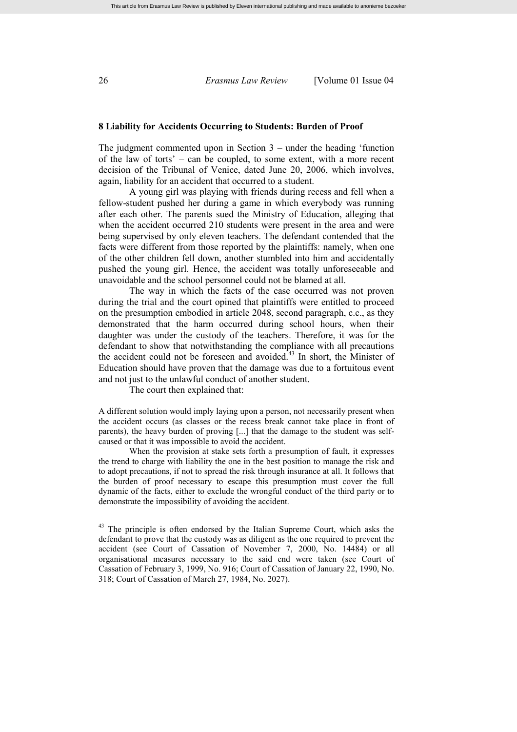#### **8 Liability for Accidents Occurring to Students: Burden of Proof**

The judgment commented upon in Section 3 – under the heading 'function of the law of torts' – can be coupled, to some extent, with a more recent decision of the Tribunal of Venice, dated June 20, 2006, which involves, again, liability for an accident that occurred to a student.

A young girl was playing with friends during recess and fell when a fellow-student pushed her during a game in which everybody was running after each other. The parents sued the Ministry of Education, alleging that when the accident occurred 210 students were present in the area and were being supervised by only eleven teachers. The defendant contended that the facts were different from those reported by the plaintiffs: namely, when one of the other children fell down, another stumbled into him and accidentally pushed the young girl. Hence, the accident was totally unforeseeable and unavoidable and the school personnel could not be blamed at all.

The way in which the facts of the case occurred was not proven during the trial and the court opined that plaintiffs were entitled to proceed on the presumption embodied in article 2048, second paragraph, c.c., as they demonstrated that the harm occurred during school hours, when their daughter was under the custody of the teachers. Therefore, it was for the defendant to show that notwithstanding the compliance with all precautions the accident could not be foreseen and avoided. $43$  In short, the Minister of Education should have proven that the damage was due to a fortuitous event and not just to the unlawful conduct of another student.

The court then explained that:

A different solution would imply laying upon a person, not necessarily present when the accident occurs (as classes or the recess break cannot take place in front of parents), the heavy burden of proving [...] that the damage to the student was selfcaused or that it was impossible to avoid the accident.

When the provision at stake sets forth a presumption of fault, it expresses the trend to charge with liability the one in the best position to manage the risk and to adopt precautions, if not to spread the risk through insurance at all. It follows that the burden of proof necessary to escape this presumption must cover the full dynamic of the facts, either to exclude the wrongful conduct of the third party or to demonstrate the impossibility of avoiding the accident.

<sup>&</sup>lt;sup>43</sup> The principle is often endorsed by the Italian Supreme Court, which asks the defendant to prove that the custody was as diligent as the one required to prevent the accident (see Court of Cassation of November 7, 2000, No. 14484) or all organisational measures necessary to the said end were taken (see Court of Cassation of February 3, 1999, No. 916; Court of Cassation of January 22, 1990, No. 318; Court of Cassation of March 27, 1984, No. 2027).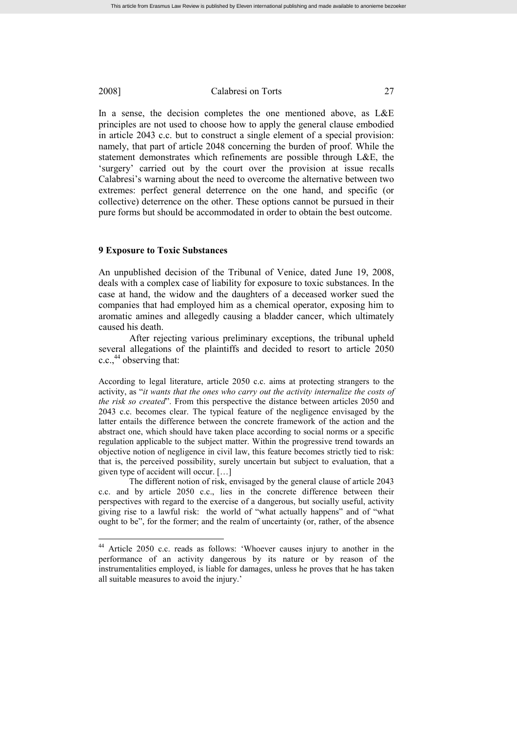In a sense, the decision completes the one mentioned above, as L&E principles are not used to choose how to apply the general clause embodied in article 2043 c.c. but to construct a single element of a special provision: namely, that part of article 2048 concerning the burden of proof. While the statement demonstrates which refinements are possible through L&E, the 'surgery' carried out by the court over the provision at issue recalls Calabresi's warning about the need to overcome the alternative between two extremes: perfect general deterrence on the one hand, and specific (or collective) deterrence on the other. These options cannot be pursued in their pure forms but should be accommodated in order to obtain the best outcome.

#### **9 Exposure to Toxic Substances**

An unpublished decision of the Tribunal of Venice, dated June 19, 2008, deals with a complex case of liability for exposure to toxic substances. In the case at hand, the widow and the daughters of a deceased worker sued the companies that had employed him as a chemical operator, exposing him to aromatic amines and allegedly causing a bladder cancer, which ultimately caused his death.

After rejecting various preliminary exceptions, the tribunal upheld several allegations of the plaintiffs and decided to resort to article 2050 c.c.,  $44$  observing that:

According to legal literature, article 2050 c.c. aims at protecting strangers to the activity, as "*it wants that the ones who carry out the activity internalize the costs of the risk so created*". From this perspective the distance between articles 2050 and 2043 c.c. becomes clear. The typical feature of the negligence envisaged by the latter entails the difference between the concrete framework of the action and the abstract one, which should have taken place according to social norms or a specific regulation applicable to the subject matter. Within the progressive trend towards an objective notion of negligence in civil law, this feature becomes strictly tied to risk: that is, the perceived possibility, surely uncertain but subject to evaluation, that a given type of accident will occur. […]

The different notion of risk, envisaged by the general clause of article 2043 c.c. and by article 2050 c.c., lies in the concrete difference between their perspectives with regard to the exercise of a dangerous, but socially useful, activity giving rise to a lawful risk: the world of "what actually happens" and of "what ought to be", for the former; and the realm of uncertainty (or, rather, of the absence

<sup>44</sup> Article 2050 c.c. reads as follows: 'Whoever causes injury to another in the performance of an activity dangerous by its nature or by reason of the instrumentalities employed, is liable for damages, unless he proves that he has taken all suitable measures to avoid the injury.'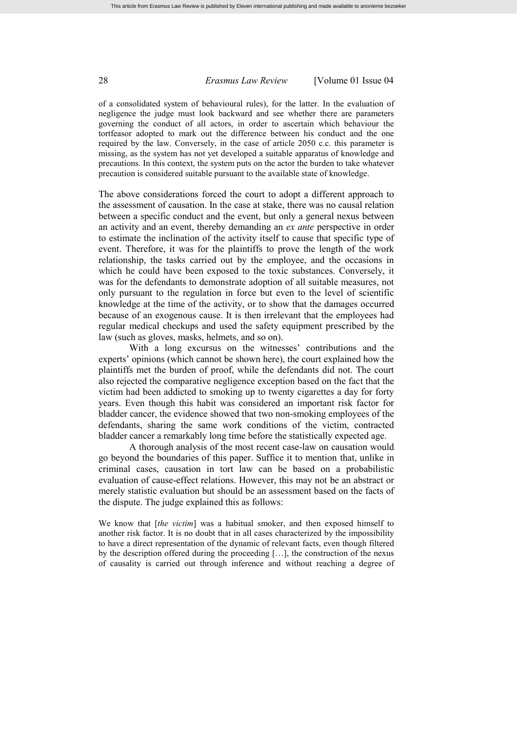of a consolidated system of behavioural rules), for the latter. In the evaluation of negligence the judge must look backward and see whether there are parameters governing the conduct of all actors, in order to ascertain which behaviour the tortfeasor adopted to mark out the difference between his conduct and the one required by the law. Conversely, in the case of article 2050 c.c. this parameter is missing, as the system has not yet developed a suitable apparatus of knowledge and precautions. In this context, the system puts on the actor the burden to take whatever precaution is considered suitable pursuant to the available state of knowledge.

The above considerations forced the court to adopt a different approach to the assessment of causation. In the case at stake, there was no causal relation between a specific conduct and the event, but only a general nexus between an activity and an event, thereby demanding an *ex ante* perspective in order to estimate the inclination of the activity itself to cause that specific type of event. Therefore, it was for the plaintiffs to prove the length of the work relationship, the tasks carried out by the employee, and the occasions in which he could have been exposed to the toxic substances. Conversely, it was for the defendants to demonstrate adoption of all suitable measures, not only pursuant to the regulation in force but even to the level of scientific knowledge at the time of the activity, or to show that the damages occurred because of an exogenous cause. It is then irrelevant that the employees had regular medical checkups and used the safety equipment prescribed by the law (such as gloves, masks, helmets, and so on).

With a long excursus on the witnesses' contributions and the experts' opinions (which cannot be shown here), the court explained how the plaintiffs met the burden of proof, while the defendants did not. The court also rejected the comparative negligence exception based on the fact that the victim had been addicted to smoking up to twenty cigarettes a day for forty years. Even though this habit was considered an important risk factor for bladder cancer, the evidence showed that two non-smoking employees of the defendants, sharing the same work conditions of the victim, contracted bladder cancer a remarkably long time before the statistically expected age.

A thorough analysis of the most recent case-law on causation would go beyond the boundaries of this paper. Suffice it to mention that, unlike in criminal cases, causation in tort law can be based on a probabilistic evaluation of cause-effect relations. However, this may not be an abstract or merely statistic evaluation but should be an assessment based on the facts of the dispute. The judge explained this as follows:

We know that [*the victim*] was a habitual smoker, and then exposed himself to another risk factor. It is no doubt that in all cases characterized by the impossibility to have a direct representation of the dynamic of relevant facts, even though filtered by the description offered during the proceeding […], the construction of the nexus of causality is carried out through inference and without reaching a degree of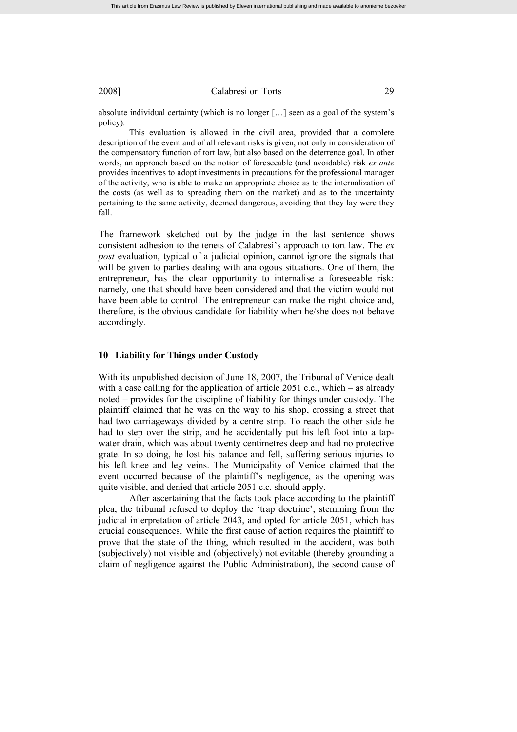absolute individual certainty (which is no longer […] seen as a goal of the system's policy).

This evaluation is allowed in the civil area, provided that a complete description of the event and of all relevant risks is given, not only in consideration of the compensatory function of tort law, but also based on the deterrence goal. In other words, an approach based on the notion of foreseeable (and avoidable) risk *ex ante* provides incentives to adopt investments in precautions for the professional manager of the activity, who is able to make an appropriate choice as to the internalization of the costs (as well as to spreading them on the market) and as to the uncertainty pertaining to the same activity, deemed dangerous, avoiding that they lay were they fall.

The framework sketched out by the judge in the last sentence shows consistent adhesion to the tenets of Calabresi's approach to tort law. The *ex post* evaluation, typical of a judicial opinion, cannot ignore the signals that will be given to parties dealing with analogous situations. One of them, the entrepreneur, has the clear opportunity to internalise a foreseeable risk: namely*,* one that should have been considered and that the victim would not have been able to control. The entrepreneur can make the right choice and, therefore, is the obvious candidate for liability when he/she does not behave accordingly.

#### **10 Liability for Things under Custody**

With its unpublished decision of June 18, 2007, the Tribunal of Venice dealt with a case calling for the application of article  $2051$  c.c., which – as already noted – provides for the discipline of liability for things under custody. The plaintiff claimed that he was on the way to his shop, crossing a street that had two carriageways divided by a centre strip. To reach the other side he had to step over the strip, and he accidentally put his left foot into a tapwater drain, which was about twenty centimetres deep and had no protective grate. In so doing, he lost his balance and fell, suffering serious injuries to his left knee and leg veins. The Municipality of Venice claimed that the event occurred because of the plaintiff's negligence, as the opening was quite visible, and denied that article 2051 c.c. should apply.

After ascertaining that the facts took place according to the plaintiff plea, the tribunal refused to deploy the 'trap doctrine', stemming from the judicial interpretation of article 2043, and opted for article 2051, which has crucial consequences. While the first cause of action requires the plaintiff to prove that the state of the thing, which resulted in the accident, was both (subjectively) not visible and (objectively) not evitable (thereby grounding a claim of negligence against the Public Administration), the second cause of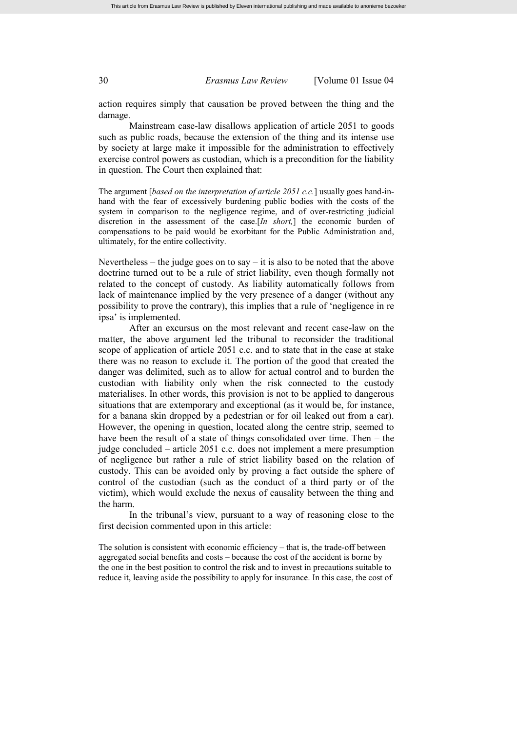action requires simply that causation be proved between the thing and the damage.

Mainstream case-law disallows application of article 2051 to goods such as public roads, because the extension of the thing and its intense use by society at large make it impossible for the administration to effectively exercise control powers as custodian, which is a precondition for the liability in question. The Court then explained that:

The argument [*based on the interpretation of article 2051 c.c.*] usually goes hand-inhand with the fear of excessively burdening public bodies with the costs of the system in comparison to the negligence regime, and of over-restricting judicial discretion in the assessment of the case.[*In short,*] the economic burden of compensations to be paid would be exorbitant for the Public Administration and, ultimately, for the entire collectivity.

Nevertheless – the judge goes on to say – it is also to be noted that the above doctrine turned out to be a rule of strict liability, even though formally not related to the concept of custody. As liability automatically follows from lack of maintenance implied by the very presence of a danger (without any possibility to prove the contrary), this implies that a rule of 'negligence in re ipsa' is implemented.

After an excursus on the most relevant and recent case-law on the matter, the above argument led the tribunal to reconsider the traditional scope of application of article 2051 c.c. and to state that in the case at stake there was no reason to exclude it. The portion of the good that created the danger was delimited, such as to allow for actual control and to burden the custodian with liability only when the risk connected to the custody materialises. In other words, this provision is not to be applied to dangerous situations that are extemporary and exceptional (as it would be, for instance, for a banana skin dropped by a pedestrian or for oil leaked out from a car). However, the opening in question, located along the centre strip, seemed to have been the result of a state of things consolidated over time. Then – the judge concluded – article 2051 c.c. does not implement a mere presumption of negligence but rather a rule of strict liability based on the relation of custody. This can be avoided only by proving a fact outside the sphere of control of the custodian (such as the conduct of a third party or of the victim), which would exclude the nexus of causality between the thing and the harm.

In the tribunal's view, pursuant to a way of reasoning close to the first decision commented upon in this article:

The solution is consistent with economic efficiency – that is, the trade-off between aggregated social benefits and costs – because the cost of the accident is borne by the one in the best position to control the risk and to invest in precautions suitable to reduce it, leaving aside the possibility to apply for insurance. In this case, the cost of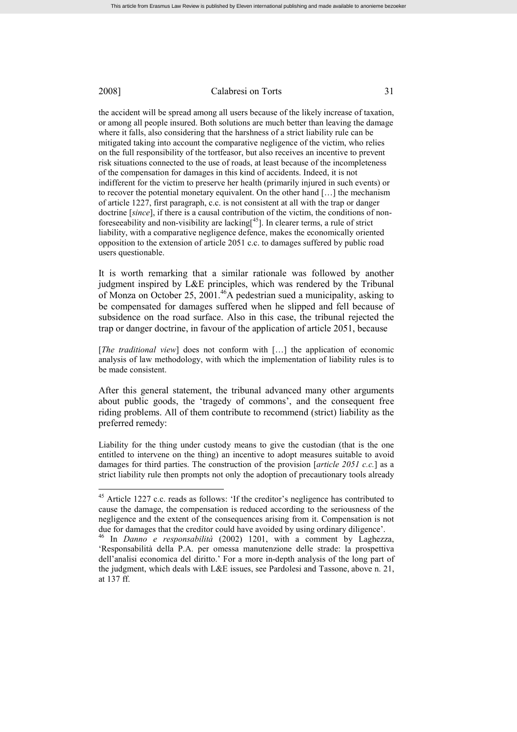the accident will be spread among all users because of the likely increase of taxation, or among all people insured. Both solutions are much better than leaving the damage where it falls, also considering that the harshness of a strict liability rule can be mitigated taking into account the comparative negligence of the victim, who relies on the full responsibility of the tortfeasor, but also receives an incentive to prevent risk situations connected to the use of roads, at least because of the incompleteness of the compensation for damages in this kind of accidents. Indeed, it is not indifferent for the victim to preserve her health (primarily injured in such events) or to recover the potential monetary equivalent. On the other hand […] the mechanism of article 1227, first paragraph, c.c. is not consistent at all with the trap or danger doctrine [*since*], if there is a causal contribution of the victim, the conditions of nonforeseeability and non-visibility are lacking $[4<sup>5</sup>]$ . In clearer terms, a rule of strict liability, with a comparative negligence defence, makes the economically oriented opposition to the extension of article 2051 c.c. to damages suffered by public road users questionable.

It is worth remarking that a similar rationale was followed by another judgment inspired by L&E principles, which was rendered by the Tribunal of Monza on October 25, 2001.<sup>46</sup>A pedestrian sued a municipality, asking to be compensated for damages suffered when he slipped and fell because of subsidence on the road surface. Also in this case, the tribunal rejected the trap or danger doctrine, in favour of the application of article 2051, because

[*The traditional view*] does not conform with […] the application of economic analysis of law methodology, with which the implementation of liability rules is to be made consistent.

After this general statement, the tribunal advanced many other arguments about public goods, the 'tragedy of commons', and the consequent free riding problems. All of them contribute to recommend (strict) liability as the preferred remedy:

Liability for the thing under custody means to give the custodian (that is the one entitled to intervene on the thing) an incentive to adopt measures suitable to avoid damages for third parties. The construction of the provision [*article 2051 c.c.*] as a strict liability rule then prompts not only the adoption of precautionary tools already

<sup>&</sup>lt;sup>45</sup> Article 1227 c.c. reads as follows: 'If the creditor's negligence has contributed to cause the damage, the compensation is reduced according to the seriousness of the negligence and the extent of the consequences arising from it. Compensation is not due for damages that the creditor could have avoided by using ordinary diligence'.

<sup>46</sup> In *Danno e responsabilità* (2002) 1201, with a comment by Laghezza, 'Responsabilità della P.A. per omessa manutenzione delle strade: la prospettiva dell'analisi economica del diritto.' For a more in-depth analysis of the long part of the judgment, which deals with L&E issues, see Pardolesi and Tassone, above n. 21, at 137 ff.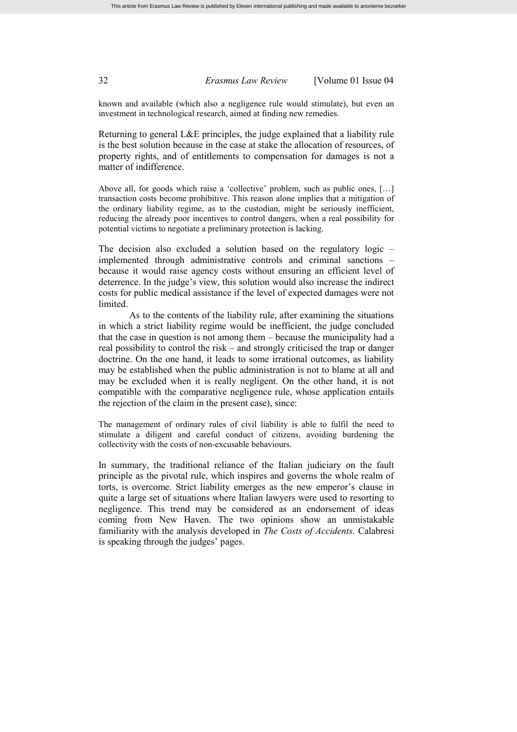known and available (which also a negligence rule would stimulate), but even an investment in technological research, aimed at finding new remedies.

Returning to general L&E principles, the judge explained that a liability rule is the best solution because in the case at stake the allocation of resources, of property rights, and of entitlements to compensation for damages is not a matter of indifference.

Above all, for goods which raise a 'collective' problem, such as public ones, […] transaction costs become prohibitive. This reason alone implies that a mitigation of the ordinary liability regime, as to the custodian, might be seriously inefficient, reducing the already poor incentives to control dangers, when a real possibility for potential victims to negotiate a preliminary protection is lacking.

The decision also excluded a solution based on the regulatory logic – implemented through administrative controls and criminal sanctions – because it would raise agency costs without ensuring an efficient level of deterrence. In the judge's view, this solution would also increase the indirect costs for public medical assistance if the level of expected damages were not limited.

As to the contents of the liability rule, after examining the situations in which a strict liability regime would be inefficient, the judge concluded that the case in question is not among them – because the municipality had a real possibility to control the risk – and strongly criticised the trap or danger doctrine. On the one hand, it leads to some irrational outcomes, as liability may be established when the public administration is not to blame at all and may be excluded when it is really negligent. On the other hand, it is not compatible with the comparative negligence rule, whose application entails the rejection of the claim in the present case), since:

The management of ordinary rules of civil liability is able to fulfil the need to stimulate a diligent and careful conduct of citizens, avoiding burdening the collectivity with the costs of non-excusable behaviours.

In summary, the traditional reliance of the Italian judiciary on the fault principle as the pivotal rule, which inspires and governs the whole realm of torts, is overcome. Strict liability emerges as the new emperor's clause in quite a large set of situations where Italian lawyers were used to resorting to negligence. This trend may be considered as an endorsement of ideas coming from New Haven. The two opinions show an unmistakable familiarity with the analysis developed in *The Costs of Accidents.* Calabresi is speaking through the judges' pages.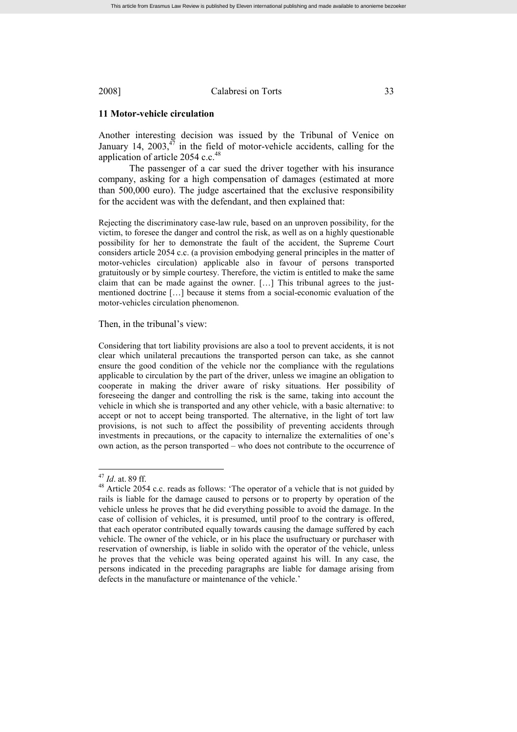## **11 Motor-vehicle circulation**

Another interesting decision was issued by the Tribunal of Venice on January 14,  $2003$ ,  $47$  in the field of motor-vehicle accidents, calling for the application of article 2054 c.c.<sup>48</sup>

The passenger of a car sued the driver together with his insurance company, asking for a high compensation of damages (estimated at more than 500,000 euro). The judge ascertained that the exclusive responsibility for the accident was with the defendant, and then explained that:

Rejecting the discriminatory case-law rule, based on an unproven possibility, for the victim, to foresee the danger and control the risk, as well as on a highly questionable possibility for her to demonstrate the fault of the accident, the Supreme Court considers article 2054 c.c. (a provision embodying general principles in the matter of motor-vehicles circulation) applicable also in favour of persons transported gratuitously or by simple courtesy. Therefore, the victim is entitled to make the same claim that can be made against the owner. […] This tribunal agrees to the justmentioned doctrine […] because it stems from a social-economic evaluation of the motor-vehicles circulation phenomenon.

Then, in the tribunal's view:

Considering that tort liability provisions are also a tool to prevent accidents, it is not clear which unilateral precautions the transported person can take, as she cannot ensure the good condition of the vehicle nor the compliance with the regulations applicable to circulation by the part of the driver, unless we imagine an obligation to cooperate in making the driver aware of risky situations. Her possibility of foreseeing the danger and controlling the risk is the same, taking into account the vehicle in which she is transported and any other vehicle, with a basic alternative: to accept or not to accept being transported. The alternative, in the light of tort law provisions, is not such to affect the possibility of preventing accidents through investments in precautions, or the capacity to internalize the externalities of one's own action, as the person transported – who does not contribute to the occurrence of

<sup>47</sup> *Id*. at. 89 ff.

 $48$  Article 2054 c.c. reads as follows: 'The operator of a vehicle that is not guided by rails is liable for the damage caused to persons or to property by operation of the vehicle unless he proves that he did everything possible to avoid the damage. In the case of collision of vehicles, it is presumed, until proof to the contrary is offered, that each operator contributed equally towards causing the damage suffered by each vehicle. The owner of the vehicle, or in his place the usufructuary or purchaser with reservation of ownership, is liable in solido with the operator of the vehicle, unless he proves that the vehicle was being operated against his will. In any case, the persons indicated in the preceding paragraphs are liable for damage arising from defects in the manufacture or maintenance of the vehicle.'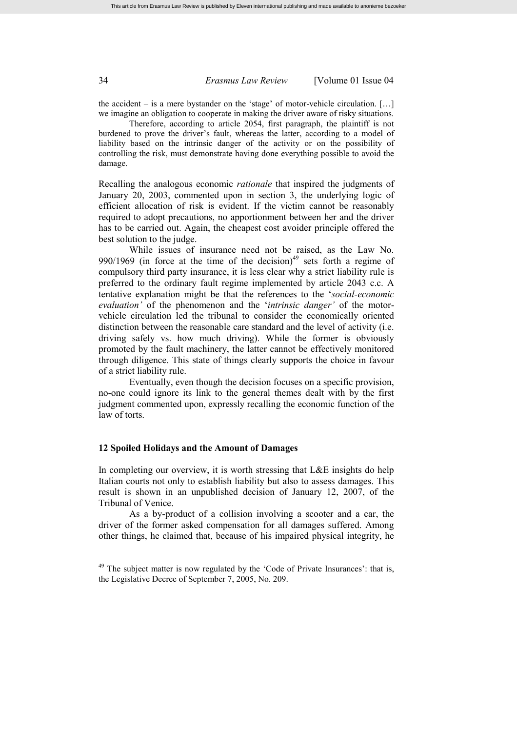the accident – is a mere bystander on the 'stage' of motor-vehicle circulation. […] we imagine an obligation to cooperate in making the driver aware of risky situations.

Therefore, according to article 2054, first paragraph, the plaintiff is not burdened to prove the driver's fault, whereas the latter, according to a model of liability based on the intrinsic danger of the activity or on the possibility of controlling the risk, must demonstrate having done everything possible to avoid the damage.

Recalling the analogous economic *rationale* that inspired the judgments of January 20, 2003, commented upon in section 3, the underlying logic of efficient allocation of risk is evident. If the victim cannot be reasonably required to adopt precautions, no apportionment between her and the driver has to be carried out. Again, the cheapest cost avoider principle offered the best solution to the judge.

While issues of insurance need not be raised, as the Law No. 990/1969 (in force at the time of the decision)<sup>49</sup> sets forth a regime of compulsory third party insurance, it is less clear why a strict liability rule is preferred to the ordinary fault regime implemented by article 2043 c.c. A tentative explanation might be that the references to the '*social-economic evaluation'* of the phenomenon and the '*intrinsic danger'* of the motorvehicle circulation led the tribunal to consider the economically oriented distinction between the reasonable care standard and the level of activity (i.e. driving safely vs. how much driving). While the former is obviously promoted by the fault machinery, the latter cannot be effectively monitored through diligence. This state of things clearly supports the choice in favour of a strict liability rule.

Eventually, even though the decision focuses on a specific provision, no-one could ignore its link to the general themes dealt with by the first judgment commented upon, expressly recalling the economic function of the law of torts.

#### **12 Spoiled Holidays and the Amount of Damages**

In completing our overview, it is worth stressing that L&E insights do help Italian courts not only to establish liability but also to assess damages. This result is shown in an unpublished decision of January 12, 2007, of the Tribunal of Venice.

As a by-product of a collision involving a scooter and a car, the driver of the former asked compensation for all damages suffered. Among other things, he claimed that, because of his impaired physical integrity, he

 $49$  The subject matter is now regulated by the 'Code of Private Insurances': that is, the Legislative Decree of September 7, 2005, No. 209.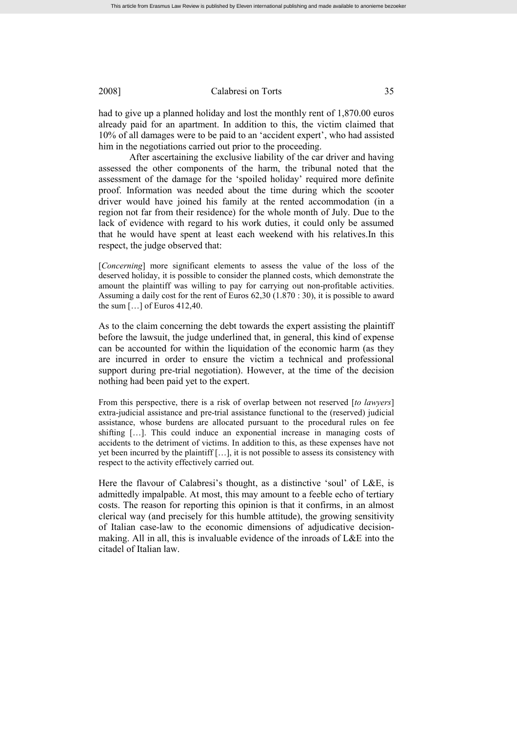had to give up a planned holiday and lost the monthly rent of 1,870.00 euros already paid for an apartment. In addition to this, the victim claimed that 10% of all damages were to be paid to an 'accident expert', who had assisted him in the negotiations carried out prior to the proceeding.

After ascertaining the exclusive liability of the car driver and having assessed the other components of the harm, the tribunal noted that the assessment of the damage for the 'spoiled holiday' required more definite proof. Information was needed about the time during which the scooter driver would have joined his family at the rented accommodation (in a region not far from their residence) for the whole month of July. Due to the lack of evidence with regard to his work duties, it could only be assumed that he would have spent at least each weekend with his relatives In this respect, the judge observed that:

[*Concerning*] more significant elements to assess the value of the loss of the deserved holiday, it is possible to consider the planned costs, which demonstrate the amount the plaintiff was willing to pay for carrying out non-profitable activities. Assuming a daily cost for the rent of Euros 62,30 (1.870 : 30), it is possible to award the sum […] of Euros 412,40.

As to the claim concerning the debt towards the expert assisting the plaintiff before the lawsuit, the judge underlined that, in general, this kind of expense can be accounted for within the liquidation of the economic harm (as they are incurred in order to ensure the victim a technical and professional support during pre-trial negotiation). However, at the time of the decision nothing had been paid yet to the expert.

From this perspective, there is a risk of overlap between not reserved [*to lawyers*] extra-judicial assistance and pre-trial assistance functional to the (reserved) judicial assistance, whose burdens are allocated pursuant to the procedural rules on fee shifting […]. This could induce an exponential increase in managing costs of accidents to the detriment of victims. In addition to this, as these expenses have not yet been incurred by the plaintiff […], it is not possible to assess its consistency with respect to the activity effectively carried out.

Here the flavour of Calabresi's thought, as a distinctive 'soul' of L&E, is admittedly impalpable. At most, this may amount to a feeble echo of tertiary costs. The reason for reporting this opinion is that it confirms, in an almost clerical way (and precisely for this humble attitude), the growing sensitivity of Italian case-law to the economic dimensions of adjudicative decisionmaking. All in all, this is invaluable evidence of the inroads of L&E into the citadel of Italian law.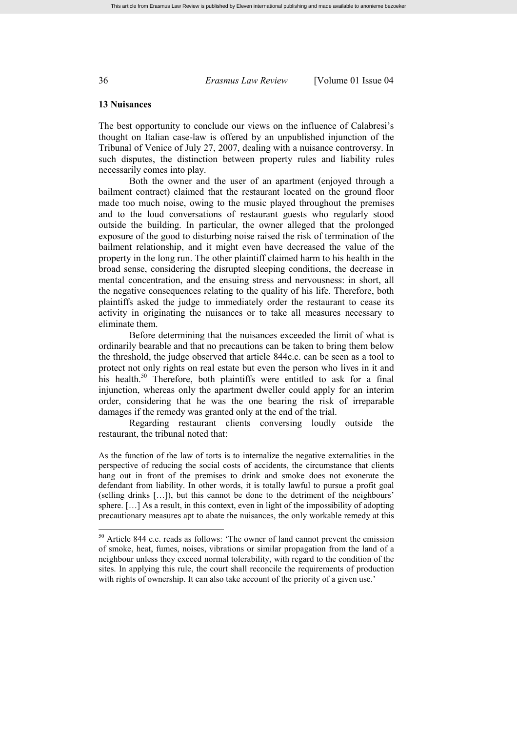### **13 Nuisances**

The best opportunity to conclude our views on the influence of Calabresi's thought on Italian case-law is offered by an unpublished injunction of the Tribunal of Venice of July 27, 2007, dealing with a nuisance controversy. In such disputes, the distinction between property rules and liability rules necessarily comes into play.

Both the owner and the user of an apartment (enjoyed through a bailment contract) claimed that the restaurant located on the ground floor made too much noise, owing to the music played throughout the premises and to the loud conversations of restaurant guests who regularly stood outside the building. In particular, the owner alleged that the prolonged exposure of the good to disturbing noise raised the risk of termination of the bailment relationship, and it might even have decreased the value of the property in the long run. The other plaintiff claimed harm to his health in the broad sense, considering the disrupted sleeping conditions, the decrease in mental concentration, and the ensuing stress and nervousness: in short, all the negative consequences relating to the quality of his life. Therefore, both plaintiffs asked the judge to immediately order the restaurant to cease its activity in originating the nuisances or to take all measures necessary to eliminate them.

Before determining that the nuisances exceeded the limit of what is ordinarily bearable and that no precautions can be taken to bring them below the threshold, the judge observed that article 844c.c. can be seen as a tool to protect not only rights on real estate but even the person who lives in it and his health.<sup>50</sup> Therefore, both plaintiffs were entitled to ask for a final injunction, whereas only the apartment dweller could apply for an interim order, considering that he was the one bearing the risk of irreparable damages if the remedy was granted only at the end of the trial.

Regarding restaurant clients conversing loudly outside the restaurant, the tribunal noted that:

As the function of the law of torts is to internalize the negative externalities in the perspective of reducing the social costs of accidents, the circumstance that clients hang out in front of the premises to drink and smoke does not exonerate the defendant from liability. In other words, it is totally lawful to pursue a profit goal (selling drinks […]), but this cannot be done to the detriment of the neighbours' sphere. […] As a result, in this context, even in light of the impossibility of adopting precautionary measures apt to abate the nuisances, the only workable remedy at this

<sup>50</sup> Article 844 c.c. reads as follows: 'The owner of land cannot prevent the emission of smoke, heat, fumes, noises, vibrations or similar propagation from the land of a neighbour unless they exceed normal tolerability, with regard to the condition of the sites. In applying this rule, the court shall reconcile the requirements of production with rights of ownership. It can also take account of the priority of a given use.'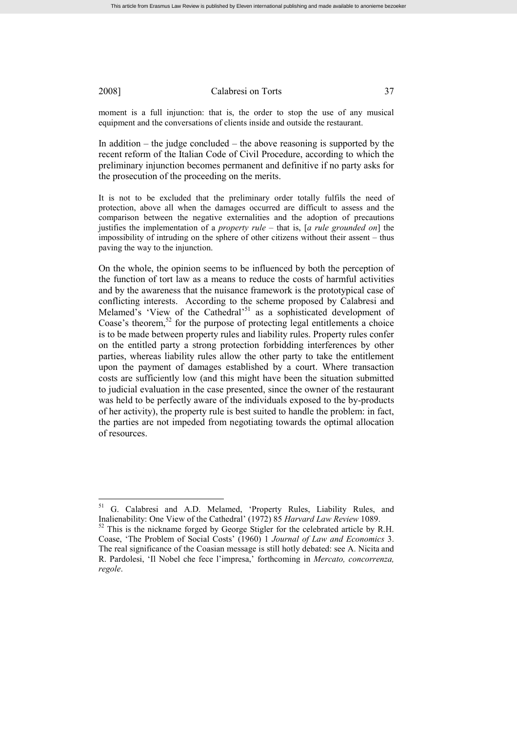moment is a full injunction: that is, the order to stop the use of any musical equipment and the conversations of clients inside and outside the restaurant.

In addition – the judge concluded – the above reasoning is supported by the recent reform of the Italian Code of Civil Procedure, according to which the preliminary injunction becomes permanent and definitive if no party asks for the prosecution of the proceeding on the merits.

It is not to be excluded that the preliminary order totally fulfils the need of protection, above all when the damages occurred are difficult to assess and the comparison between the negative externalities and the adoption of precautions justifies the implementation of a *property rule* – that is, [*a rule grounded on*] the impossibility of intruding on the sphere of other citizens without their assent – thus paving the way to the injunction.

On the whole, the opinion seems to be influenced by both the perception of the function of tort law as a means to reduce the costs of harmful activities and by the awareness that the nuisance framework is the prototypical case of conflicting interests. According to the scheme proposed by Calabresi and Melamed's 'View of the Cathedral'<sup>51</sup> as a sophisticated development of Coase's theorem, $52$  for the purpose of protecting legal entitlements a choice is to be made between property rules and liability rules. Property rules confer on the entitled party a strong protection forbidding interferences by other parties, whereas liability rules allow the other party to take the entitlement upon the payment of damages established by a court. Where transaction costs are sufficiently low (and this might have been the situation submitted to judicial evaluation in the case presented, since the owner of the restaurant was held to be perfectly aware of the individuals exposed to the by-products of her activity), the property rule is best suited to handle the problem: in fact, the parties are not impeded from negotiating towards the optimal allocation of resources.

<sup>&</sup>lt;sup>51</sup> G. Calabresi and A.D. Melamed, 'Property Rules, Liability Rules, and Inalienability: One View of the Cathedral' (1972) 85 *Harvard Law Review* 1089.

<sup>&</sup>lt;sup>52</sup> This is the nickname forged by George Stigler for the celebrated article by R.H. Coase, 'The Problem of Social Costs' (1960) 1 *Journal of Law and Economics* 3. The real significance of the Coasian message is still hotly debated: see A. Nicita and R. Pardolesi, 'Il Nobel che fece l'impresa,' forthcoming in *Mercato, concorrenza, regole*.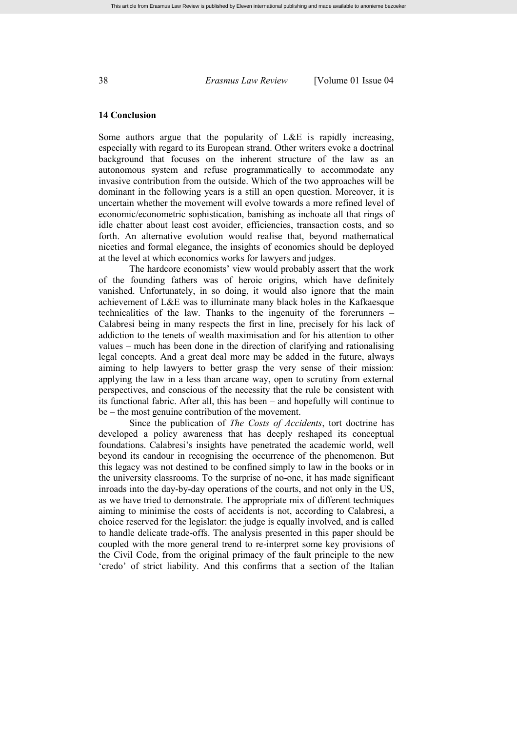#### **14 Conclusion**

Some authors argue that the popularity of L&E is rapidly increasing, especially with regard to its European strand. Other writers evoke a doctrinal background that focuses on the inherent structure of the law as an autonomous system and refuse programmatically to accommodate any invasive contribution from the outside. Which of the two approaches will be dominant in the following years is a still an open question. Moreover, it is uncertain whether the movement will evolve towards a more refined level of economic/econometric sophistication, banishing as inchoate all that rings of idle chatter about least cost avoider, efficiencies, transaction costs, and so forth. An alternative evolution would realise that, beyond mathematical niceties and formal elegance, the insights of economics should be deployed at the level at which economics works for lawyers and judges.

The hardcore economists' view would probably assert that the work of the founding fathers was of heroic origins, which have definitely vanished. Unfortunately, in so doing, it would also ignore that the main achievement of L&E was to illuminate many black holes in the Kafkaesque technicalities of the law. Thanks to the ingenuity of the forerunners – Calabresi being in many respects the first in line, precisely for his lack of addiction to the tenets of wealth maximisation and for his attention to other values – much has been done in the direction of clarifying and rationalising legal concepts. And a great deal more may be added in the future, always aiming to help lawyers to better grasp the very sense of their mission: applying the law in a less than arcane way, open to scrutiny from external perspectives, and conscious of the necessity that the rule be consistent with its functional fabric. After all, this has been – and hopefully will continue to be – the most genuine contribution of the movement.

Since the publication of *The Costs of Accidents*, tort doctrine has developed a policy awareness that has deeply reshaped its conceptual foundations. Calabresi's insights have penetrated the academic world, well beyond its candour in recognising the occurrence of the phenomenon. But this legacy was not destined to be confined simply to law in the books or in the university classrooms. To the surprise of no-one, it has made significant inroads into the day-by-day operations of the courts, and not only in the US, as we have tried to demonstrate. The appropriate mix of different techniques aiming to minimise the costs of accidents is not, according to Calabresi, a choice reserved for the legislator: the judge is equally involved, and is called to handle delicate trade-offs. The analysis presented in this paper should be coupled with the more general trend to re-interpret some key provisions of the Civil Code, from the original primacy of the fault principle to the new 'credo' of strict liability. And this confirms that a section of the Italian